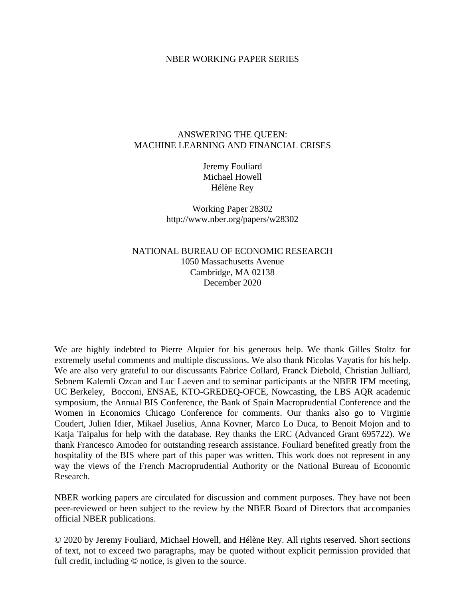#### NBER WORKING PAPER SERIES

#### ANSWERING THE QUEEN: MACHINE LEARNING AND FINANCIAL CRISES

Jeremy Fouliard Michael Howell Hélène Rey

Working Paper 28302 http://www.nber.org/papers/w28302

NATIONAL BUREAU OF ECONOMIC RESEARCH 1050 Massachusetts Avenue Cambridge, MA 02138 December 2020

We are highly indebted to Pierre Alquier for his generous help. We thank Gilles Stoltz for extremely useful comments and multiple discussions. We also thank Nicolas Vayatis for his help. We are also very grateful to our discussants Fabrice Collard, Franck Diebold, Christian Julliard, Sebnem Kalemli Ozcan and Luc Laeven and to seminar participants at the NBER IFM meeting, UC Berkeley, Bocconi, ENSAE, KTO-GREDEQ-OFCE, Nowcasting, the LBS AQR academic symposium, the Annual BIS Conference, the Bank of Spain Macroprudential Conference and the Women in Economics Chicago Conference for comments. Our thanks also go to Virginie Coudert, Julien Idier, Mikael Juselius, Anna Kovner, Marco Lo Duca, to Benoit Mojon and to Katja Taipalus for help with the database. Rey thanks the ERC (Advanced Grant 695722). We thank Francesco Amodeo for outstanding research assistance. Fouliard benefited greatly from the hospitality of the BIS where part of this paper was written. This work does not represent in any way the views of the French Macroprudential Authority or the National Bureau of Economic Research.

NBER working papers are circulated for discussion and comment purposes. They have not been peer-reviewed or been subject to the review by the NBER Board of Directors that accompanies official NBER publications.

© 2020 by Jeremy Fouliard, Michael Howell, and Hélène Rey. All rights reserved. Short sections of text, not to exceed two paragraphs, may be quoted without explicit permission provided that full credit, including © notice, is given to the source.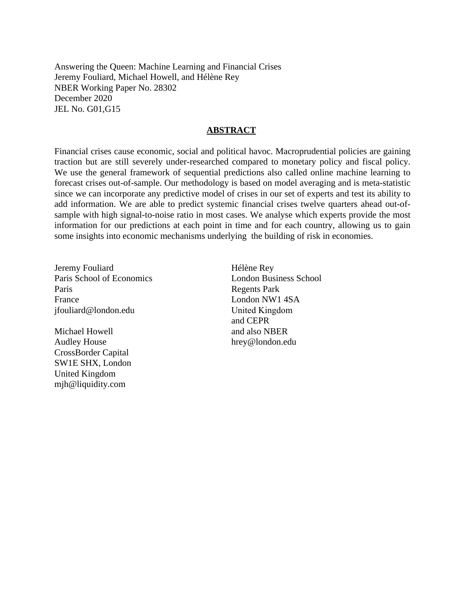Answering the Queen: Machine Learning and Financial Crises Jeremy Fouliard, Michael Howell, and Hélène Rey NBER Working Paper No. 28302 December 2020 JEL No. G01,G15

#### **ABSTRACT**

Financial crises cause economic, social and political havoc. Macroprudential policies are gaining traction but are still severely under-researched compared to monetary policy and fiscal policy. We use the general framework of sequential predictions also called online machine learning to forecast crises out-of-sample. Our methodology is based on model averaging and is meta-statistic since we can incorporate any predictive model of crises in our set of experts and test its ability to add information. We are able to predict systemic financial crises twelve quarters ahead out-ofsample with high signal-to-noise ratio in most cases. We analyse which experts provide the most information for our predictions at each point in time and for each country, allowing us to gain some insights into economic mechanisms underlying the building of risk in economies.

Jeremy Fouliard Paris School of Economics Paris France jfouliard@london.edu

Michael Howell Audley House CrossBorder Capital SW1E SHX, London United Kingdom mjh@liquidity.com

Hélène Rey London Business School Regents Park London NW1 4SA United Kingdom and CEPR and also NBER hrey@london.edu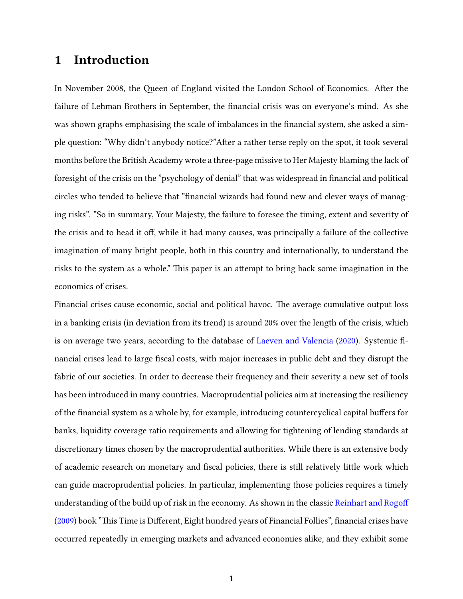# 1 Introduction

In November 2008, the Queen of England visited the London School of Economics. After the failure of Lehman Brothers in September, the financial crisis was on everyone's mind. As she was shown graphs emphasising the scale of imbalances in the financial system, she asked a simple question: "Why didn't anybody notice?"After a rather terse reply on the spot, it took several months before the British Academy wrote a three-page missive to Her Majesty blaming the lack of foresight of the crisis on the "psychology of denial" that was widespread in financial and political circles who tended to believe that "financial wizards had found new and clever ways of managing risks". "So in summary, Your Majesty, the failure to foresee the timing, extent and severity of the crisis and to head it off, while it had many causes, was principally a failure of the collective imagination of many bright people, both in this country and internationally, to understand the risks to the system as a whole." This paper is an attempt to bring back some imagination in the economics of crises.

Financial crises cause economic, social and political havoc. The average cumulative output loss in a banking crisis (in deviation from its trend) is around 20% over the length of the crisis, which is on average two years, according to the database of [Laeven and Valencia](#page-40-0) [\(2020\)](#page-40-0). Systemic financial crises lead to large fiscal costs, with major increases in public debt and they disrupt the fabric of our societies. In order to decrease their frequency and their severity a new set of tools has been introduced in many countries. Macroprudential policies aim at increasing the resiliency of the financial system as a whole by, for example, introducing countercyclical capital buffers for banks, liquidity coverage ratio requirements and allowing for tightening of lending standards at discretionary times chosen by the macroprudential authorities. While there is an extensive body of academic research on monetary and fiscal policies, there is still relatively little work which can guide macroprudential policies. In particular, implementing those policies requires a timely understanding of the build up of risk in the economy. As shown in the classic [Reinhart and Rogo](#page-41-0) [\(2009\)](#page-41-0) book "This Time is Different, Eight hundred years of Financial Follies", financial crises have occurred repeatedly in emerging markets and advanced economies alike, and they exhibit some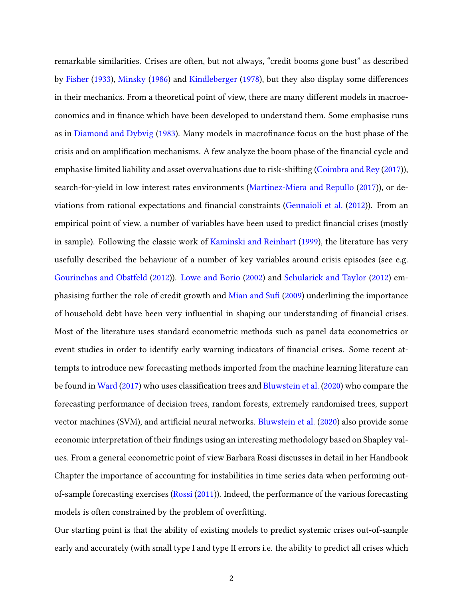remarkable similarities. Crises are often, but not always, "credit booms gone bust" as described by [Fisher](#page-39-0) [\(1933\)](#page-39-0), [Minsky](#page-40-1) [\(1986\)](#page-40-1) and [Kindleberger](#page-40-2) [\(1978\)](#page-40-2), but they also display some differences in their mechanics. From a theoretical point of view, there are many different models in macroeconomics and in nance which have been developed to understand them. Some emphasise runs as in [Diamond and Dybvig](#page-39-1) [\(1983\)](#page-39-1). Many models in macrofinance focus on the bust phase of the crisis and on amplification mechanisms. A few analyze the boom phase of the financial cycle and emphasise limited liability and asset overvaluations due to risk-shifting [\(Coimbra and Rey](#page-39-2) [\(2017\)](#page-39-2)), search-for-yield in low interest rates environments [\(Martinez-Miera and Repullo](#page-40-3) [\(2017\)](#page-40-3)), or de-viations from rational expectations and financial constraints [\(Gennaioli et al.](#page-40-4) [\(2012\)](#page-40-4)). From an empirical point of view, a number of variables have been used to predict financial crises (mostly in sample). Following the classic work of [Kaminski and Reinhart](#page-40-5) [\(1999\)](#page-40-5), the literature has very usefully described the behaviour of a number of key variables around crisis episodes (see e.g. [Gourinchas and Obstfeld](#page-40-6) [\(2012\)](#page-40-6)). [Lowe and Borio](#page-40-7) [\(2002\)](#page-40-7) and [Schularick and Taylor](#page-41-1) [\(2012\)](#page-41-1) em-phasising further the role of credit growth and [Mian and Su](#page-40-8)fi [\(2009\)](#page-40-8) underlining the importance of household debt have been very influential in shaping our understanding of financial crises. Most of the literature uses standard econometric methods such as panel data econometrics or event studies in order to identify early warning indicators of financial crises. Some recent attempts to introduce new forecasting methods imported from the machine learning literature can be found in [Ward](#page-41-2) [\(2017\)](#page-41-2) who uses classification trees and [Bluwstein et al.](#page-39-3) [\(2020\)](#page-39-3) who compare the forecasting performance of decision trees, random forests, extremely randomised trees, support vector machines (SVM), and artificial neural networks. [Bluwstein et al.](#page-39-3) [\(2020\)](#page-39-3) also provide some economic interpretation of their findings using an interesting methodology based on Shapley values. From a general econometric point of view Barbara Rossi discusses in detail in her Handbook Chapter the importance of accounting for instabilities in time series data when performing outof-sample forecasting exercises [\(Rossi](#page-41-3) [\(2011\)](#page-41-3)). Indeed, the performance of the various forecasting models is often constrained by the problem of overfitting.

Our starting point is that the ability of existing models to predict systemic crises out-of-sample early and accurately (with small type I and type II errors i.e. the ability to predict all crises which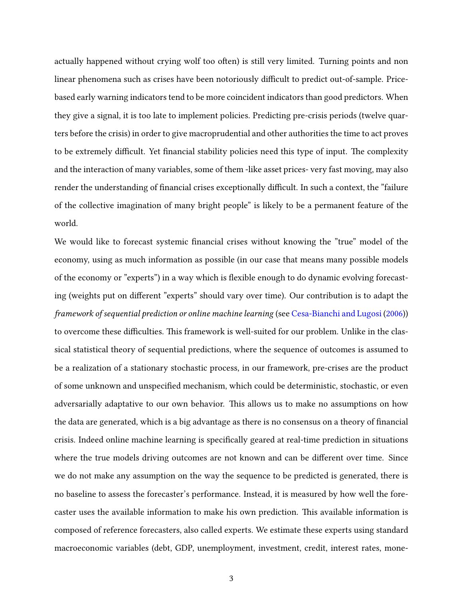actually happened without crying wolf too often) is still very limited. Turning points and non linear phenomena such as crises have been notoriously difficult to predict out-of-sample. Pricebased early warning indicators tend to be more coincident indicators than good predictors. When they give a signal, it is too late to implement policies. Predicting pre-crisis periods (twelve quarters before the crisis) in order to give macroprudential and other authorities the time to act proves to be extremely difficult. Yet financial stability policies need this type of input. The complexity and the interaction of many variables, some of them -like asset prices- very fast moving, may also render the understanding of financial crises exceptionally difficult. In such a context, the "failure of the collective imagination of many bright people" is likely to be a permanent feature of the world.

We would like to forecast systemic financial crises without knowing the "true" model of the economy, using as much information as possible (in our case that means many possible models of the economy or "experts") in a way which is flexible enough to do dynamic evolving forecasting (weights put on different "experts" should vary over time). Our contribution is to adapt the framework of sequential prediction or online machine learning (see [Cesa-Bianchi and Lugosi](#page-39-4) [\(2006\)](#page-39-4)) to overcome these difficulties. This framework is well-suited for our problem. Unlike in the classical statistical theory of sequential predictions, where the sequence of outcomes is assumed to be a realization of a stationary stochastic process, in our framework, pre-crises are the product of some unknown and unspecified mechanism, which could be deterministic, stochastic, or even adversarially adaptative to our own behavior. This allows us to make no assumptions on how the data are generated, which is a big advantage as there is no consensus on a theory of financial crisis. Indeed online machine learning is specifically geared at real-time prediction in situations where the true models driving outcomes are not known and can be different over time. Since we do not make any assumption on the way the sequence to be predicted is generated, there is no baseline to assess the forecaster's performance. Instead, it is measured by how well the forecaster uses the available information to make his own prediction. This available information is composed of reference forecasters, also called experts. We estimate these experts using standard macroeconomic variables (debt, GDP, unemployment, investment, credit, interest rates, mone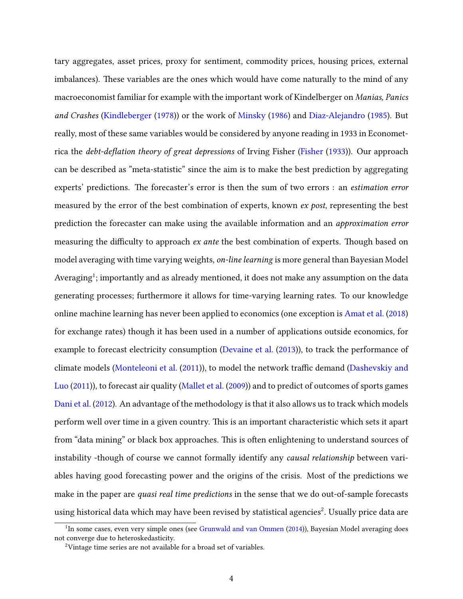tary aggregates, asset prices, proxy for sentiment, commodity prices, housing prices, external imbalances). These variables are the ones which would have come naturally to the mind of any macroeconomist familiar for example with the important work of Kindelberger on Manias, Panics and Crashes [\(Kindleberger](#page-40-2) [\(1978\)](#page-40-2)) or the work of [Minsky](#page-40-1) [\(1986\)](#page-40-1) and [Diaz-Alejandro](#page-39-5) [\(1985\)](#page-39-5). But really, most of these same variables would be considered by anyone reading in 1933 in Econometrica the *debt-deflation theory of great depressions* of Irving Fisher [\(Fisher](#page-39-0)  $(1933)$ ). Our approach can be described as "meta-statistic" since the aim is to make the best prediction by aggregating experts' predictions. The forecaster's error is then the sum of two errors : an *estimation error* measured by the error of the best combination of experts, known *ex post*, representing the best prediction the forecaster can make using the available information and an approximation error measuring the difficulty to approach ex ante the best combination of experts. Though based on model averaging with time varying weights, on-line learning is more general than Bayesian Model Averaging $^1$ ; importantly and as already mentioned, it does not make any assumption on the data generating processes; furthermore it allows for time-varying learning rates. To our knowledge online machine learning has never been applied to economics (one exception is [Amat et al.](#page-39-6) [\(2018\)](#page-39-6) for exchange rates) though it has been used in a number of applications outside economics, for example to forecast electricity consumption [\(Devaine et al.](#page-39-7) [\(2013\)](#page-39-7)), to track the performance of climate models [\(Monteleoni et al.](#page-40-9) [\(2011\)](#page-40-9)), to model the network traffic demand [\(Dashevskiy and](#page-39-8) [Luo](#page-39-8) [\(2011\)](#page-39-8)), to forecast air quality [\(Mallet et al.](#page-40-10) [\(2009\)](#page-40-10)) and to predict of outcomes of sports games [Dani et al.](#page-39-9) [\(2012\)](#page-39-9). An advantage of the methodology is that it also allows us to track which models perform well over time in a given country. This is an important characteristic which sets it apart from "data mining" or black box approaches. This is often enlightening to understand sources of instability -though of course we cannot formally identify any causal relationship between variables having good forecasting power and the origins of the crisis. Most of the predictions we make in the paper are *quasi real time predictions* in the sense that we do out-of-sample forecasts using historical data which may have been revised by statistical agencies $^2$ . Usually price data are

<sup>&</sup>lt;sup>1</sup>In some cases, even very simple ones (see [Grunwald and van Ommen](#page-40-11) [\(2014\)](#page-40-11)), Bayesian Model averaging does not converge due to heteroskedasticity.

<sup>2</sup>Vintage time series are not available for a broad set of variables.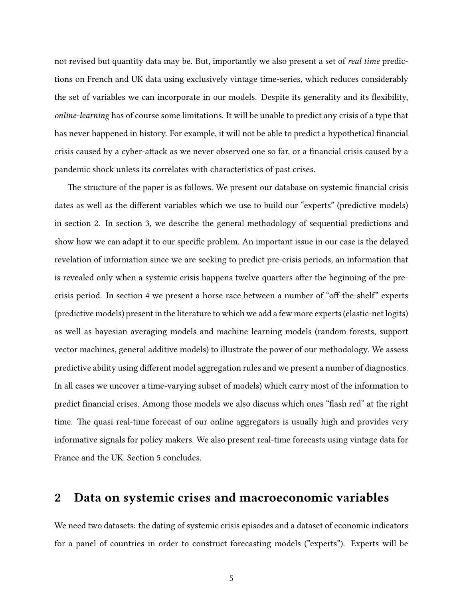not revised but quantity data may be. But, importantly we also present a set of *real time* predictions on French and UK data using exclusively vintage time-series, which reduces considerably the set of variables we can incorporate in our models. Despite its generality and its flexibility, online-learning has of course some limitations. It will be unable to predict any crisis of a type that has never happened in history. For example, it will not be able to predict a hypothetical financial crisis caused by a cyber-attack as we never observed one so far, or a financial crisis caused by a pandemic shock unless its correlates with characteristics of past crises.

The structure of the paper is as follows. We present our database on systemic financial crisis dates as well as the different variables which we use to build our "experts" (predictive models) in section 2. In section 3, we describe the general methodology of sequential predictions and show how we can adapt it to our specific problem. An important issue in our case is the delayed revelation of information since we are seeking to predict pre-crisis periods, an information that is revealed only when a systemic crisis happens twelve quarters after the beginning of the precrisis period. In section 4 we present a horse race between a number of "off-the-shelf" experts (predictive models) present in the literature to which we add a few more experts (elastic-net logits) as well as bayesian averaging models and machine learning models (random forests, support vector machines, general additive models) to illustrate the power of our methodology. We assess predictive ability using different model aggregation rules and we present a number of diagnostics. In all cases we uncover a time-varying subset of models) which carry most of the information to predict financial crises. Among those models we also discuss which ones "flash red" at the right time. The quasi real-time forecast of our online aggregators is usually high and provides very informative signals for policy makers. We also present real-time forecasts using vintage data for France and the UK. Section 5 concludes.

# 2 Data on systemic crises and macroeconomic variables

We need two datasets: the dating of systemic crisis episodes and a dataset of economic indicators for a panel of countries in order to construct forecasting models ("experts"). Experts will be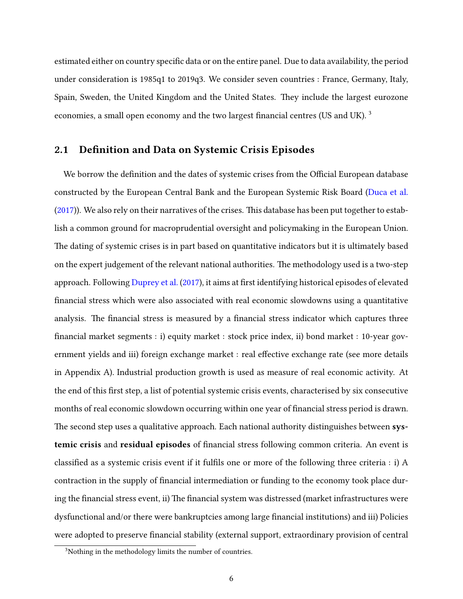estimated either on country specific data or on the entire panel. Due to data availability, the period under consideration is 1985q1 to 2019q3. We consider seven countries : France, Germany, Italy, Spain, Sweden, the United Kingdom and the United States. They include the largest eurozone economies, a small open economy and the two largest financial centres (US and UK).  $3$ 

#### 2.1 Definition and Data on Systemic Crisis Episodes

We borrow the definition and the dates of systemic crises from the Official European database constructed by the European Central Bank and the European Systemic Risk Board [\(Duca et al.](#page-39-10)  $(2017)$ ). We also rely on their narratives of the crises. This database has been put together to establish a common ground for macroprudential oversight and policymaking in the European Union. The dating of systemic crises is in part based on quantitative indicators but it is ultimately based on the expert judgement of the relevant national authorities. The methodology used is a two-step approach. Following [Duprey et al.](#page-39-11) [\(2017\)](#page-39-11), it aims at first identifying historical episodes of elevated nancial stress which were also associated with real economic slowdowns using a quantitative analysis. The financial stress is measured by a financial stress indicator which captures three nancial market segments : i) equity market : stock price index, ii) bond market : 10-year government yields and iii) foreign exchange market : real effective exchange rate (see more details in Appendix A). Industrial production growth is used as measure of real economic activity. At the end of this first step, a list of potential systemic crisis events, characterised by six consecutive months of real economic slowdown occurring within one year of financial stress period is drawn. The second step uses a qualitative approach. Each national authority distinguishes between systemic crisis and residual episodes of financial stress following common criteria. An event is classified as a systemic crisis event if it fulfils one or more of the following three criteria  $: i)$  A contraction in the supply of nancial intermediation or funding to the economy took place during the financial stress event, ii) The financial system was distressed (market infrastructures were dysfunctional and/or there were bankruptcies among large financial institutions) and iii) Policies were adopted to preserve financial stability (external support, extraordinary provision of central

<sup>&</sup>lt;sup>3</sup>Nothing in the methodology limits the number of countries.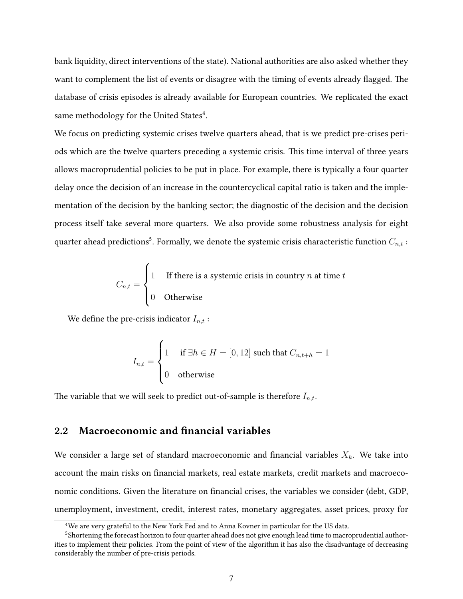bank liquidity, direct interventions of the state). National authorities are also asked whether they want to complement the list of events or disagree with the timing of events already flagged. The database of crisis episodes is already available for European countries. We replicated the exact same methodology for the United States $^4$ .

We focus on predicting systemic crises twelve quarters ahead, that is we predict pre-crises periods which are the twelve quarters preceding a systemic crisis. This time interval of three years allows macroprudential policies to be put in place. For example, there is typically a four quarter delay once the decision of an increase in the countercyclical capital ratio is taken and the implementation of the decision by the banking sector; the diagnostic of the decision and the decision process itself take several more quarters. We also provide some robustness analysis for eight quarter ahead predictions $^5$ . Formally, we denote the systemic crisis characteristic function  $C_{n,t}$  :

$$
C_{n,t} = \begin{cases} 1 & \text{If there is a systemic crisis in country } n \text{ at time } t \\ 0 & \text{Otherwise} \end{cases}
$$

We define the pre-crisis indicator  $I_{n,t}$  :

$$
I_{n,t} = \begin{cases} 1 & \text{if } \exists h \in H = [0, 12] \text{ such that } C_{n,t+h} = 1 \\ 0 & \text{otherwise} \end{cases}
$$

The variable that we will seek to predict out-of-sample is therefore  $I_{n,t}$ .

## 2.2 Macroeconomic and financial variables

We consider a large set of standard macroeconomic and financial variables  $X_k$ . We take into account the main risks on financial markets, real estate markets, credit markets and macroeconomic conditions. Given the literature on financial crises, the variables we consider (debt, GDP, unemployment, investment, credit, interest rates, monetary aggregates, asset prices, proxy for

<sup>4</sup>We are very grateful to the New York Fed and to Anna Kovner in particular for the US data.

<sup>&</sup>lt;sup>5</sup>Shortening the forecast horizon to four quarter ahead does not give enough lead time to macroprudential authorities to implement their policies. From the point of view of the algorithm it has also the disadvantage of decreasing considerably the number of pre-crisis periods.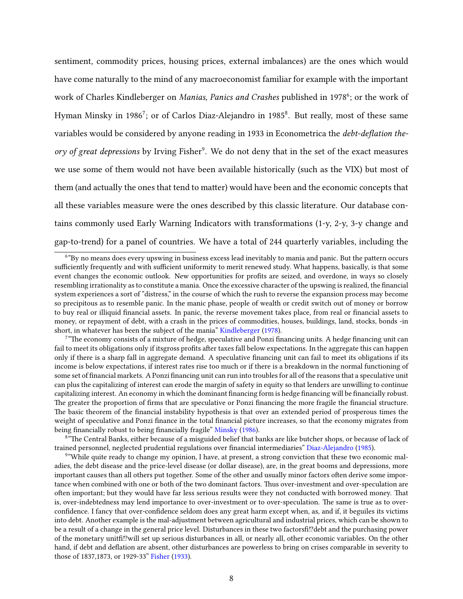sentiment, commodity prices, housing prices, external imbalances) are the ones which would have come naturally to the mind of any macroeconomist familiar for example with the important work of Charles Kindleberger on Manias, Panics and Crashes published in 1978<sup>6</sup>; or the work of Hyman Minsky in 1986<sup>7</sup>; or of Carlos Diaz-Alejandro in 1985<sup>8</sup>. But really, most of these same variables would be considered by anyone reading in 1933 in Econometrica the debt-deflation theory of great depressions by Irving Fisher<sup>9</sup>. We do not deny that in the set of the exact measures we use some of them would not have been available historically (such as the VIX) but most of them (and actually the ones that tend to matter) would have been and the economic concepts that all these variables measure were the ones described by this classic literature. Our database contains commonly used Early Warning Indicators with transformations (1-y, 2-y, 3-y change and gap-to-trend) for a panel of countries. We have a total of 244 quarterly variables, including the

 $6"$ By no means does every upswing in business excess lead inevitably to mania and panic. But the pattern occurs sufficiently frequently and with sufficient uniformity to merit renewed study. What happens, basically, is that some event changes the economic outlook. New opportunities for profits are seized, and overdone, in ways so closely resembling irrationality as to constitute a mania. Once the excessive character of the upswing is realized, the financial system experiences a sort of "distress," in the course of which the rush to reverse the expansion process may become so precipitous as to resemble panic. In the manic phase, people of wealth or credit switch out of money or borrow to buy real or illiquid financial assets. In panic, the reverse movement takes place, from real or financial assets to money, or repayment of debt, with a crash in the prices of commodities, houses, buildings, land, stocks, bonds -in short, in whatever has been the subject of the mania" [Kindleberger](#page-40-2) [\(1978\)](#page-40-2).

 $7"$ The economy consists of a mixture of hedge, speculative and Ponzi financing units. A hedge financing unit can fail to meet its obligations only if itsgross profits after taxes fall below expectations. In the aggregate this can happen only if there is a sharp fall in aggregate demand. A speculative financing unit can fail to meet its obligations if its income is below expectations, if interest rates rise too much or if there is a breakdown in the normal functioning of some set of financial markets. A Ponzi financing unit can run into troubles for all of the reasons that a speculative unit can plus the capitalizing of interest can erode the margin of safety in equity so that lenders are unwilling to continue capitalizing interest. An economy in which the dominant financing form is hedge financing will be financially robust. The greater the proportion of firms that are speculative or Ponzi financing the more fragile the financial structure. The basic theorem of the financial instability hypothesis is that over an extended period of prosperous times the weight of speculative and Ponzi finance in the total financial picture increases, so that the economy migrates from being financially robust to being financially fragile" [Minsky](#page-40-1) [\(1986\)](#page-40-1).

<sup>&</sup>lt;sup>8</sup>"The Central Banks, either because of a misguided belief that banks are like butcher shops, or because of lack of trained personnel, neglected prudential regulations over nancial intermediaries" [Diaz-Alejandro](#page-39-5) [\(1985\)](#page-39-5).

<sup>&</sup>lt;sup>9</sup>"While quite ready to change my opinion, I have, at present, a strong conviction that these two economic maladies, the debt disease and the price-level disease (or dollar disease), are, in the great booms and depressions, more important causes than all others put together. Some of the other and usually minor factors often derive some importance when combined with one or both of the two dominant factors. Thus over-investment and over-speculation are often important; but they would have far less serious results were they not conducted with borrowed money. That is, over-indebtedness may lend importance to over-investment or to over-speculation. The same is true as to overconfidence. I fancy that over-confidence seldom does any great harm except when, as, and if, it beguiles its victims into debt. Another example is the mal-adjustment between agricultural and industrial prices, which can be shown to be a result of a change in the general price level. Disturbances in these two factorsfi!?debt and the purchasing power of the monetary unitfi!?will set up serious disturbances in all, or nearly all, other economic variables. On the other hand, if debt and deflation are absent, other disturbances are powerless to bring on crises comparable in severity to those of 1837,1873, or 1929-33" [Fisher](#page-39-0) [\(1933\)](#page-39-0).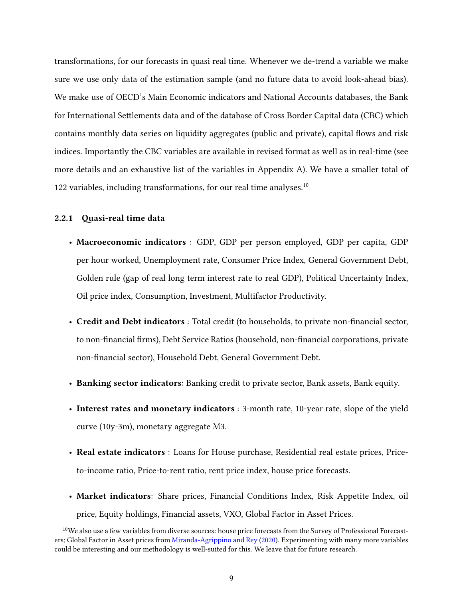transformations, for our forecasts in quasi real time. Whenever we de-trend a variable we make sure we use only data of the estimation sample (and no future data to avoid look-ahead bias). We make use of OECD's Main Economic indicators and National Accounts databases, the Bank for International Settlements data and of the database of Cross Border Capital data (CBC) which contains monthly data series on liquidity aggregates (public and private), capital flows and risk indices. Importantly the CBC variables are available in revised format as well as in real-time (see more details and an exhaustive list of the variables in Appendix A). We have a smaller total of 122 variables, including transformations, for our real time analyses.<sup>10</sup>

### 2.2.1 Quasi-real time data

- Macroeconomic indicators : GDP, GDP per person employed, GDP per capita, GDP per hour worked, Unemployment rate, Consumer Price Index, General Government Debt, Golden rule (gap of real long term interest rate to real GDP), Political Uncertainty Index, Oil price index, Consumption, Investment, Multifactor Productivity.
- Credit and Debt indicators : Total credit (to households, to private non-financial sector, to non-financial firms), Debt Service Ratios (household, non-financial corporations, private non-financial sector), Household Debt, General Government Debt.
- Banking sector indicators: Banking credit to private sector, Bank assets, Bank equity.
- Interest rates and monetary indicators : 3-month rate, 10-year rate, slope of the yield curve (10y-3m), monetary aggregate M3.
- Real estate indicators : Loans for House purchase, Residential real estate prices, Priceto-income ratio, Price-to-rent ratio, rent price index, house price forecasts.
- Market indicators: Share prices, Financial Conditions Index, Risk Appetite Index, oil price, Equity holdings, Financial assets, VXO, Global Factor in Asset Prices.

 $10$ We also use a few variables from diverse sources: house price forecasts from the Survey of Professional Forecasters; Global Factor in Asset prices from [Miranda-Agrippino and Rey](#page-40-12) [\(2020\)](#page-40-12). Experimenting with many more variables could be interesting and our methodology is well-suited for this. We leave that for future research.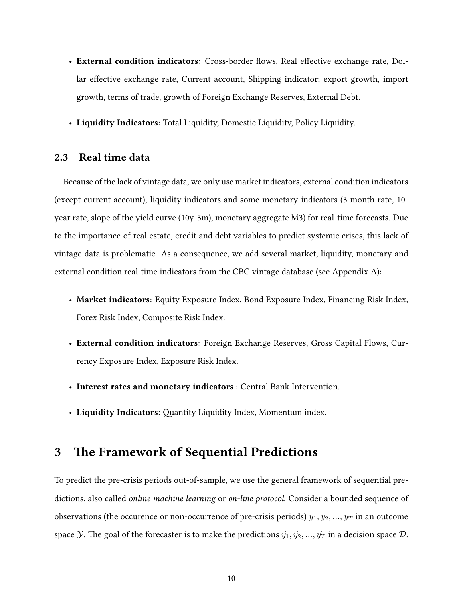- External condition indicators: Cross-border flows, Real effective exchange rate, Dollar effective exchange rate, Current account, Shipping indicator; export growth, import growth, terms of trade, growth of Foreign Exchange Reserves, External Debt.
- Liquidity Indicators: Total Liquidity, Domestic Liquidity, Policy Liquidity.

## 2.3 Real time data

Because of the lack of vintage data, we only use market indicators, external condition indicators (except current account), liquidity indicators and some monetary indicators (3-month rate, 10 year rate, slope of the yield curve (10y-3m), monetary aggregate M3) for real-time forecasts. Due to the importance of real estate, credit and debt variables to predict systemic crises, this lack of vintage data is problematic. As a consequence, we add several market, liquidity, monetary and external condition real-time indicators from the CBC vintage database (see Appendix A):

- Market indicators: Equity Exposure Index, Bond Exposure Index, Financing Risk Index, Forex Risk Index, Composite Risk Index.
- External condition indicators: Foreign Exchange Reserves, Gross Capital Flows, Currency Exposure Index, Exposure Risk Index.
- Interest rates and monetary indicators : Central Bank Intervention.
- Liquidity Indicators: Quantity Liquidity Index, Momentum index.

## 3 The Framework of Sequential Predictions

To predict the pre-crisis periods out-of-sample, we use the general framework of sequential predictions, also called online machine learning or on-line protocol. Consider a bounded sequence of observations (the occurence or non-occurrence of pre-crisis periods)  $y_1, y_2, ..., y_T$  in an outcome space *Y*. The goal of the forecaster is to make the predictions  $\hat{y}_1, \hat{y}_2, ..., \hat{y}_T$  in a decision space *D*.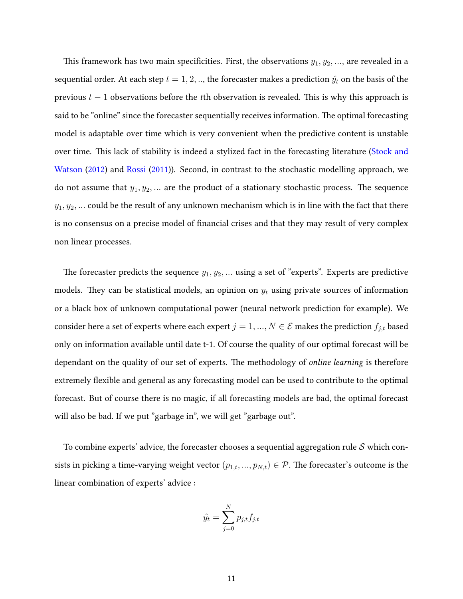This framework has two main specificities. First, the observations  $y_1, y_2, \ldots$ , are revealed in a sequential order. At each step  $t = 1, 2, \dots$ , the forecaster makes a prediction  $\hat{y}_t$  on the basis of the previous  $t - 1$  observations before the tth observation is revealed. This is why this approach is said to be "online" since the forecaster sequentially receives information. The optimal forecasting model is adaptable over time which is very convenient when the predictive content is unstable over time. This lack of stability is indeed a stylized fact in the forecasting literature [\(Stock and](#page-41-4) [Watson](#page-41-4) [\(2012\)](#page-41-4) and [Rossi](#page-41-3) [\(2011\)](#page-41-3)). Second, in contrast to the stochastic modelling approach, we do not assume that  $y_1, y_2, \ldots$  are the product of a stationary stochastic process. The sequence  $y_1, y_2, \ldots$  could be the result of any unknown mechanism which is in line with the fact that there is no consensus on a precise model of financial crises and that they may result of very complex non linear processes.

The forecaster predicts the sequence  $y_1, y_2, \ldots$  using a set of "experts". Experts are predictive models. They can be statistical models, an opinion on  $y_t$  using private sources of information or a black box of unknown computational power (neural network prediction for example). We consider here a set of experts where each expert  $j=1,...,N\in\mathcal{E}$  makes the prediction  $f_{j,t}$  based only on information available until date t-1. Of course the quality of our optimal forecast will be dependant on the quality of our set of experts. The methodology of online learning is therefore extremely flexible and general as any forecasting model can be used to contribute to the optimal forecast. But of course there is no magic, if all forecasting models are bad, the optimal forecast will also be bad. If we put "garbage in", we will get "garbage out".

To combine experts' advice, the forecaster chooses a sequential aggregation rule  $S$  which consists in picking a time-varying weight vector  $(p_{1,t},..., p_{N,t}) \in \mathcal{P}$ . The forecaster's outcome is the linear combination of experts' advice :

$$
\hat{y}_t = \sum_{j=0}^N p_{j,t} f_{j,t}
$$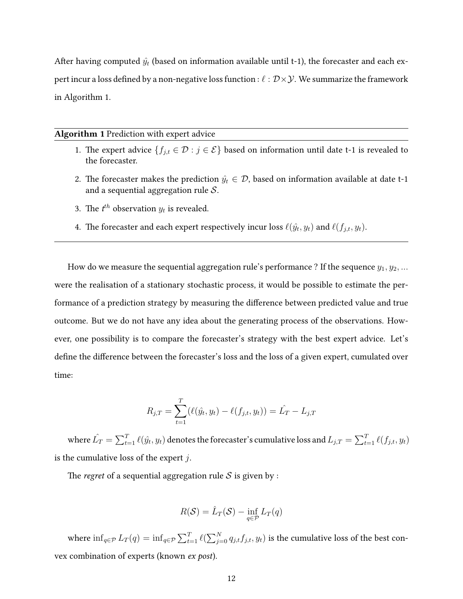After having computed  $\hat{y_t}$  (based on information available until t-1), the forecaster and each expert incur a loss defined by a non-negative loss function :  $\ell : \mathcal{D}\times\mathcal{Y}$ . We summarize the framework in Algorithm 1.

#### Algorithm 1 Prediction with expert advice

- 1. The expert advice  $\{f_{j,t} \in \mathcal{D} : j \in \mathcal{E}\}$  based on information until date t-1 is revealed to the forecaster.
- 2. The forecaster makes the prediction  $\hat{y}_t \in \mathcal{D}$ , based on information available at date t-1 and a sequential aggregation rule  $S$ .
- 3. The  $t^{th}$  observation  $y_t$  is revealed.
- 4. The forecaster and each expert respectively incur loss  $\ell(\hat{y_t}, y_t)$  and  $\ell(f_{j,t}, y_t)$ .

How do we measure the sequential aggregation rule's performance ? If the sequence  $y_1, y_2, ...$ were the realisation of a stationary stochastic process, it would be possible to estimate the performance of a prediction strategy by measuring the difference between predicted value and true outcome. But we do not have any idea about the generating process of the observations. However, one possibility is to compare the forecaster's strategy with the best expert advice. Let's define the difference between the forecaster's loss and the loss of a given expert, cumulated over time:

$$
R_{j,T} = \sum_{t=1}^{T} (\ell(\hat{y}_t, y_t) - \ell(f_{j,t}, y_t)) = \hat{L}_T - L_{j,T}
$$

where  $\hat{L_T} = \sum_{t=1}^T \ell(\hat{y_t}, y_t)$  denotes the forecaster's cumulative loss and  $L_{j,T} = \sum_{t=1}^T \ell(f_{j,t}, y_t)$ is the cumulative loss of the expert  $j$ .

The *regret* of a sequential aggregation rule S is given by :

$$
R(\mathcal{S}) = \hat{L}_T(\mathcal{S}) - \inf_{q \in \mathcal{P}} L_T(q)
$$

where  $\inf_{q\in\mathcal{P}}L_T(q)=\inf_{q\in\mathcal{P}}\sum_{t=1}^T\ell(\sum_{j=0}^N q_{j,t}f_{j,t},y_t)$  is the cumulative loss of the best convex combination of experts (known ex post).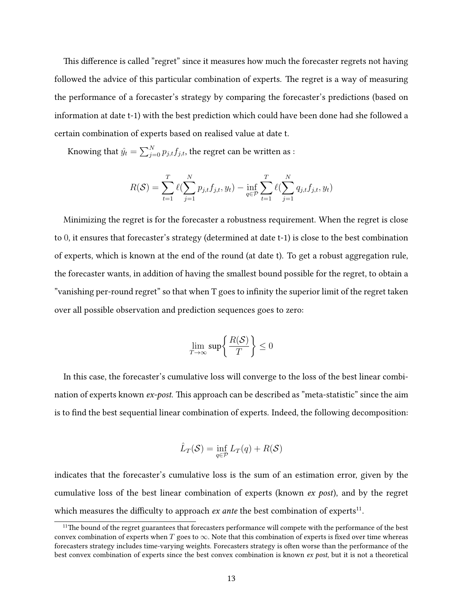This difference is called "regret" since it measures how much the forecaster regrets not having followed the advice of this particular combination of experts. The regret is a way of measuring the performance of a forecaster's strategy by comparing the forecaster's predictions (based on information at date t-1) with the best prediction which could have been done had she followed a certain combination of experts based on realised value at date t.

Knowing that  $\hat{y_t} = \sum_{j=0}^{N} p_{j,t} f_{j,t},$  the regret can be written as :

$$
R(S) = \sum_{t=1}^{T} \ell(\sum_{j=1}^{N} p_{j,t} f_{j,t}, y_t) - \inf_{q \in \mathcal{P}} \sum_{t=1}^{T} \ell(\sum_{j=1}^{N} q_{j,t} f_{j,t}, y_t)
$$

Minimizing the regret is for the forecaster a robustness requirement. When the regret is close to 0, it ensures that forecaster's strategy (determined at date t-1) is close to the best combination of experts, which is known at the end of the round (at date t). To get a robust aggregation rule, the forecaster wants, in addition of having the smallest bound possible for the regret, to obtain a "vanishing per-round regret" so that when T goes to infinity the superior limit of the regret taken over all possible observation and prediction sequences goes to zero:

$$
\lim_{T \to \infty} \sup \left\{ \frac{R(\mathcal{S})}{T} \right\} \le 0
$$

In this case, the forecaster's cumulative loss will converge to the loss of the best linear combination of experts known  $ex$ -post. This approach can be described as "meta-statistic" since the aim is to find the best sequential linear combination of experts. Indeed, the following decomposition:

$$
\hat{L}_T(\mathcal{S}) = \inf_{q \in \mathcal{P}} L_T(q) + R(\mathcal{S})
$$

indicates that the forecaster's cumulative loss is the sum of an estimation error, given by the cumulative loss of the best linear combination of experts (known ex post), and by the regret which measures the difficulty to approach  $ex$  ante the best combination of experts $^{11}$ .

<sup>&</sup>lt;sup>11</sup>The bound of the regret guarantees that forecasters performance will compete with the performance of the best convex combination of experts when  $T$  goes to  $\infty$ . Note that this combination of experts is fixed over time whereas forecasters strategy includes time-varying weights. Forecasters strategy is often worse than the performance of the best convex combination of experts since the best convex combination is known ex post, but it is not a theoretical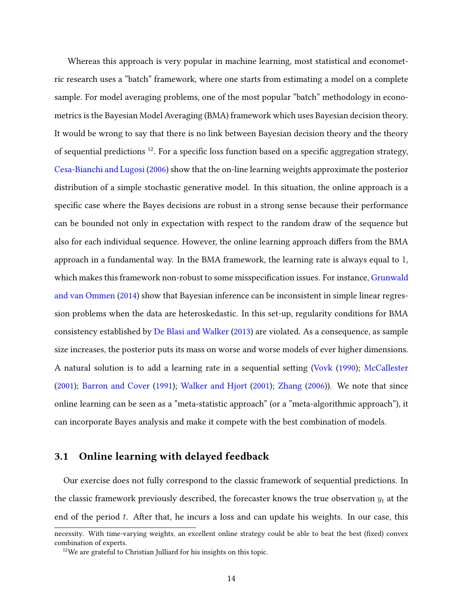Whereas this approach is very popular in machine learning, most statistical and econometric research uses a "batch" framework, where one starts from estimating a model on a complete sample. For model averaging problems, one of the most popular "batch" methodology in econometrics is the Bayesian Model Averaging (BMA) framework which uses Bayesian decision theory. It would be wrong to say that there is no link between Bayesian decision theory and the theory of sequential predictions  $12$ . For a specific loss function based on a specific aggregation strategy, [Cesa-Bianchi and Lugosi](#page-39-4) [\(2006\)](#page-39-4) show that the on-line learning weights approximate the posterior distribution of a simple stochastic generative model. In this situation, the online approach is a specific case where the Bayes decisions are robust in a strong sense because their performance can be bounded not only in expectation with respect to the random draw of the sequence but also for each individual sequence. However, the online learning approach differs from the BMA approach in a fundamental way. In the BMA framework, the learning rate is always equal to 1, which makes this framework non-robust to some misspecification issues. For instance, [Grunwald](#page-40-11) [and van Ommen](#page-40-11) [\(2014\)](#page-40-11) show that Bayesian inference can be inconsistent in simple linear regression problems when the data are heteroskedastic. In this set-up, regularity conditions for BMA consistency established by [De Blasi and Walker](#page-39-12) [\(2013\)](#page-39-12) are violated. As a consequence, as sample size increases, the posterior puts its mass on worse and worse models of ever higher dimensions. A natural solution is to add a learning rate in a sequential seing [\(Vovk](#page-41-5) [\(1990\)](#page-41-5); [McCallester](#page-40-13) [\(2001\)](#page-40-13); [Barron and Cover](#page-39-13) [\(1991\)](#page-39-13); [Walker and Hjort](#page-41-6) [\(2001\)](#page-41-6); [Zhang](#page-41-7) [\(2006\)](#page-41-7)). We note that since online learning can be seen as a "meta-statistic approach" (or a "meta-algorithmic approach"), it can incorporate Bayes analysis and make it compete with the best combination of models.

## 3.1 Online learning with delayed feedback

Our exercise does not fully correspond to the classic framework of sequential predictions. In the classic framework previously described, the forecaster knows the true observation  $y_t$  at the end of the period  $t$ . After that, he incurs a loss and can update his weights. In our case, this

necessity. With time-varying weights, an excellent online strategy could be able to beat the best (fixed) convex combination of experts.

<sup>&</sup>lt;sup>12</sup>We are grateful to Christian Julliard for his insights on this topic.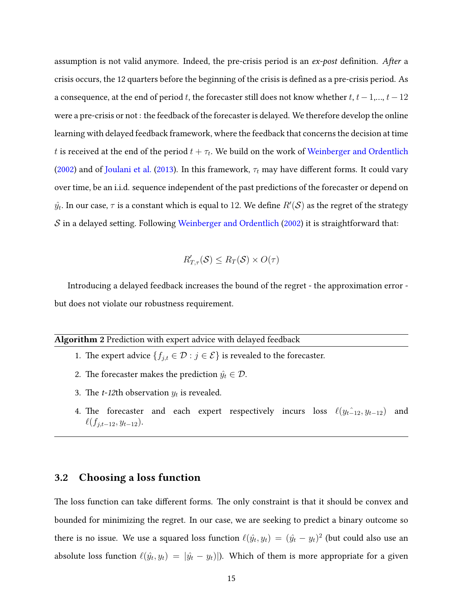assumption is not valid anymore. Indeed, the pre-crisis period is an ex-post definition. After a crisis occurs, the 12 quarters before the beginning of the crisis is defined as a pre-crisis period. As a consequence, at the end of period t, the forecaster still does not know whether  $t, t-1, ..., t-12$ were a pre-crisis or not : the feedback of the forecaster is delayed. We therefore develop the online learning with delayed feedback framework, where the feedback that concerns the decision at time  $t$  is received at the end of the period  $t+\tau_t.$  We build on the work of [Weinberger and Ordentlich](#page-41-8) [\(2002\)](#page-41-8) and of [Joulani et al.](#page-40-14) [\(2013\)](#page-40-14). In this framework,  $\tau_t$  may have different forms. It could vary over time, be an i.i.d. sequence independent of the past predictions of the forecaster or depend on  $\hat{y_t}$ . In our case,  $\tau$  is a constant which is equal to  $12.$  We define  $R'(\mathcal{S})$  as the regret of the strategy  $S$  in a delayed setting. Following [Weinberger and Ordentlich](#page-41-8) [\(2002\)](#page-41-8) it is straightforward that:

$$
R'_{T,\tau}(\mathcal{S}) \le R_T(\mathcal{S}) \times O(\tau)
$$

Introducing a delayed feedback increases the bound of the regret - the approximation error but does not violate our robustness requirement.

#### Algorithm 2 Prediction with expert advice with delayed feedback

- 1. The expert advice  $\{f_{j,t} \in \mathcal{D} : j \in \mathcal{E}\}$  is revealed to the forecaster.
- 2. The forecaster makes the prediction  $\hat{y_t} \in \mathcal{D}$ .
- 3. The *t*-12th observation  $y_t$  is revealed.
- 4. The forecaster and each expert respectively incurs loss  $\ell ( y_{t-12}, y_{t-12} )$  and  $\ell(f_{j,t-12}, y_{t-12}).$

## 3.2 Choosing a loss function

The loss function can take different forms. The only constraint is that it should be convex and bounded for minimizing the regret. In our case, we are seeking to predict a binary outcome so there is no issue. We use a squared loss function  $\ell( \hat{y_t}, y_t) \, = \, (\hat{y_t} - y_t)^2$  (but could also use an absolute loss function  $\ell(\hat y_t, y_t)\,=\,|\hat y_t - y_t)|$ ). Which of them is more appropriate for a given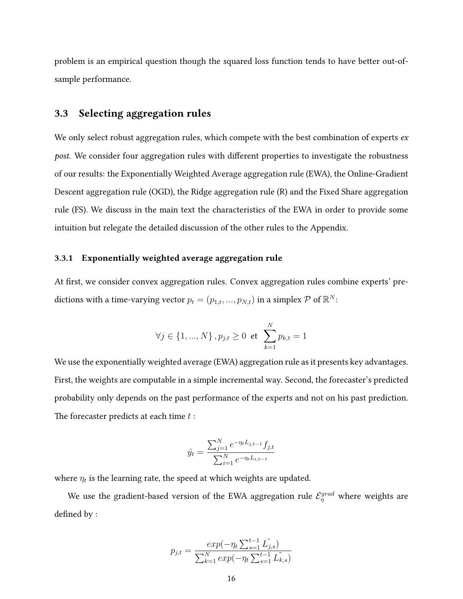problem is an empirical question though the squared loss function tends to have better out-ofsample performance.

## 3.3 Selecting aggregation rules

We only select robust aggregation rules, which compete with the best combination of experts  $ex$ post. We consider four aggregation rules with different properties to investigate the robustness of our results: the Exponentially Weighted Average aggregation rule (EWA), the Online-Gradient Descent aggregation rule (OGD), the Ridge aggregation rule (R) and the Fixed Share aggregation rule (FS). We discuss in the main text the characteristics of the EWA in order to provide some intuition but relegate the detailed discussion of the other rules to the Appendix.

#### 3.3.1 Exponentially weighted average aggregation rule

At first, we consider convex aggregation rules. Convex aggregation rules combine experts' predictions with a time-varying vector  $p_t = (p_{1,t},...,p_{N,t})$  in a simplex  $\mathcal P$  of  $\mathbb R^N$ :

$$
\forall j \in \{1, ..., N\}, p_{j,t} \ge 0 \text{ et } \sum_{k=1}^{N} p_{k,t} = 1
$$

We use the exponentially weighted average (EWA) aggregation rule as it presents key advantages. First, the weights are computable in a simple incremental way. Second, the forecaster's predicted probability only depends on the past performance of the experts and not on his past prediction. The forecaster predicts at each time  $t$ :

$$
\hat{y}_t = \frac{\sum_{j=1}^N e^{-\eta_t L_{j,t-1}} f_{j,t}}{\sum_{i=1}^N e^{-\eta_t L_{i,t-1}}}
$$

where  $\eta_t$  is the learning rate, the speed at which weights are updated.

We use the gradient-based version of the EWA aggregation rule  $\mathcal{E}^{grad}_{\eta}$  where weights are defined by :

$$
p_{j,t} = \frac{exp(-\eta_t \sum_{s=1}^{t-1} L_{j,s}^{\tilde{\jmath}})}{\sum_{k=1}^{N} exp(-\eta_t \sum_{s=1}^{t-1} L_{k,s}^{\tilde{\jmath}})}
$$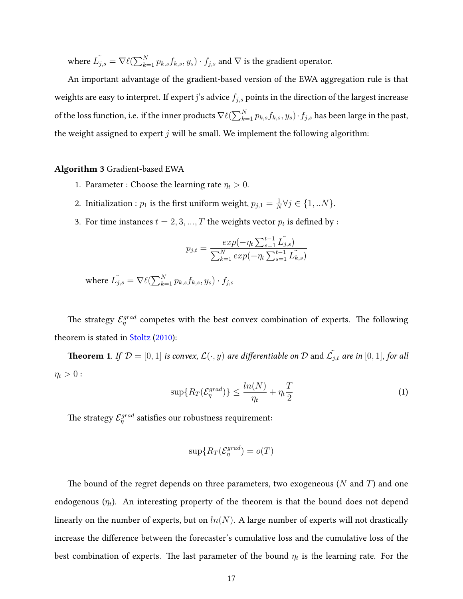where  $\tilde{L_{j,s}} = \nabla \ell(\sum_{k=1}^N p_{k,s} f_{k,s}, y_s) \cdot f_{j,s}$  and  $\nabla$  is the gradient operator.

An important advantage of the gradient-based version of the EWA aggregation rule is that weights are easy to interpret. If expert j's advice  $f_{j,s}$  points in the direction of the largest increase of the loss function, i.e. if the inner products  $\nabla\ell(\sum_{k=1}^Np_{k,s}f_{k,s}, y_s)\cdot f_{j,s}$  has been large in the past, the weight assigned to expert  $j$  will be small. We implement the following algorithm:

#### Algorithm 3 Gradient-based EWA

- 1. Parameter : Choose the learning rate  $\eta_t > 0$ .
- 2. Initialization :  $p_1$  is the first uniform weight,  $p_{j,1}=\frac{1}{N}$  $\frac{1}{N} \forall j \in \{1,..N\}.$
- 3. For time instances  $t = 2, 3, ..., T$  the weights vector  $p_t$  is defined by :

$$
p_{j,t} = \frac{exp(-\eta_t \sum_{s=1}^{t-1} L_{j,s}^{\tilde{}})}{\sum_{k=1}^{N} exp(-\eta_t \sum_{s=1}^{t-1} L_{k,s}^{\tilde{}})}
$$

where  $\tilde{L_{j,s}} = \nabla \ell(\sum_{k=1}^N p_{k,s} f_{k,s}, y_s) \cdot f_{j,s}$ 

The strategy  $\mathcal{E}^{grad}_{\eta}$  competes with the best convex combination of experts. The following theorem is stated in [Stoltz](#page-41-9) [\(2010\)](#page-41-9):

**Theorem 1.** If  $\mathcal{D} = [0, 1]$  is convex,  $\mathcal{L}(\cdot, y)$  are differentiable on  $\mathcal D$  and  $\tilde{\mathcal{L}_{j,t}}$  are in  $[0, 1]$ , for all  $\eta_t > 0$ :

$$
\sup\{R_T(\mathcal{E}_{\eta}^{grad})\} \le \frac{\ln(N)}{\eta_t} + \eta_t \frac{T}{2}
$$
 (1)

The strategy  $\mathcal{E}^{grad}_{\eta}$  satisfies our robustness requirement:

$$
\sup\{R_T(\mathcal{E}_{\eta}^{grad})=o(T)
$$

The bound of the regret depends on three parameters, two exogeneous ( $N$  and  $T$ ) and one endogenous ( $\eta_t$ ). An interesting property of the theorem is that the bound does not depend linearly on the number of experts, but on  $ln(N)$ . A large number of experts will not drastically increase the difference between the forecaster's cumulative loss and the cumulative loss of the best combination of experts. The last parameter of the bound  $\eta_t$  is the learning rate. For the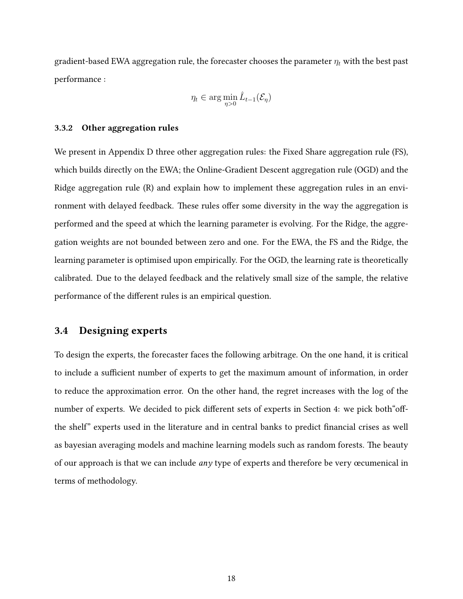gradient-based EWA aggregation rule, the forecaster chooses the parameter  $\eta_t$  with the best past performance :

$$
\eta_t \in \arg\min_{\eta > 0} \hat{L}_{t-1}(\mathcal{E}_{\eta})
$$

#### 3.3.2 Other aggregation rules

We present in Appendix D three other aggregation rules: the Fixed Share aggregation rule (FS), which builds directly on the EWA; the Online-Gradient Descent aggregation rule (OGD) and the Ridge aggregation rule (R) and explain how to implement these aggregation rules in an environment with delayed feedback. These rules offer some diversity in the way the aggregation is performed and the speed at which the learning parameter is evolving. For the Ridge, the aggregation weights are not bounded between zero and one. For the EWA, the FS and the Ridge, the learning parameter is optimised upon empirically. For the OGD, the learning rate is theoretically calibrated. Due to the delayed feedback and the relatively small size of the sample, the relative performance of the different rules is an empirical question.

## 3.4 Designing experts

To design the experts, the forecaster faces the following arbitrage. On the one hand, it is critical to include a sufficient number of experts to get the maximum amount of information, in order to reduce the approximation error. On the other hand, the regret increases with the log of the number of experts. We decided to pick different sets of experts in Section 4: we pick both offthe shelf" experts used in the literature and in central banks to predict financial crises as well as bayesian averaging models and machine learning models such as random forests. The beauty of our approach is that we can include  $any$  type of experts and therefore be very œcumenical in terms of methodology.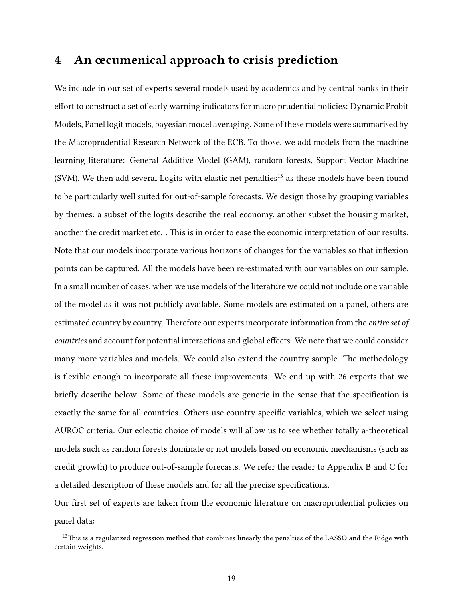# 4 An œcumenical approach to crisis prediction

We include in our set of experts several models used by academics and by central banks in their effort to construct a set of early warning indicators for macro prudential policies: Dynamic Probit Models, Panel logit models, bayesian model averaging. Some of these models were summarised by the Macroprudential Research Network of the ECB. To those, we add models from the machine learning literature: General Additive Model (GAM), random forests, Support Vector Machine (SVM). We then add several Logits with elastic net penalties $^{13}$  as these models have been found to be particularly well suited for out-of-sample forecasts. We design those by grouping variables by themes: a subset of the logits describe the real economy, another subset the housing market, another the credit market etc... This is in order to ease the economic interpretation of our results. Note that our models incorporate various horizons of changes for the variables so that inflexion points can be captured. All the models have been re-estimated with our variables on our sample. In a small number of cases, when we use models of the literature we could not include one variable of the model as it was not publicly available. Some models are estimated on a panel, others are estimated country by country. Therefore our experts incorporate information from the *entire set of* countries and account for potential interactions and global effects. We note that we could consider many more variables and models. We could also extend the country sample. The methodology is flexible enough to incorporate all these improvements. We end up with 26 experts that we briefly describe below. Some of these models are generic in the sense that the specification is exactly the same for all countries. Others use country specific variables, which we select using AUROC criteria. Our eclectic choice of models will allow us to see whether totally a-theoretical models such as random forests dominate or not models based on economic mechanisms (such as credit growth) to produce out-of-sample forecasts. We refer the reader to Appendix B and C for a detailed description of these models and for all the precise specifications.

Our first set of experts are taken from the economic literature on macroprudential policies on panel data:

<sup>&</sup>lt;sup>13</sup>This is a regularized regression method that combines linearly the penalties of the LASSO and the Ridge with certain weights.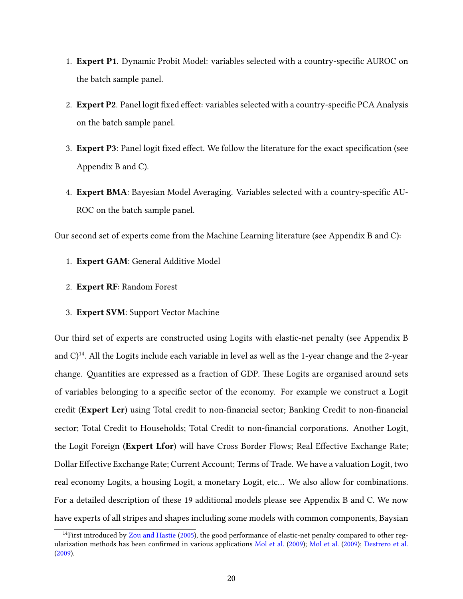- 1. **Expert P1**. Dynamic Probit Model: variables selected with a country-specific AUROC on the batch sample panel.
- 2. Expert P2. Panel logit fixed effect: variables selected with a country-specific PCA Analysis on the batch sample panel.
- 3. Expert P3: Panel logit fixed effect. We follow the literature for the exact specification (see Appendix B and C).
- 4. Expert BMA: Bayesian Model Averaging. Variables selected with a country-specific AU-ROC on the batch sample panel.

Our second set of experts come from the Machine Learning literature (see Appendix B and C):

- 1. Expert GAM: General Additive Model
- 2. Expert RF: Random Forest
- 3. Expert SVM: Support Vector Machine

Our third set of experts are constructed using Logits with elastic-net penalty (see Appendix B and  $C^{14}$ . All the Logits include each variable in level as well as the 1-year change and the 2-year change. Quantities are expressed as a fraction of GDP. These Logits are organised around sets of variables belonging to a specific sector of the economy. For example we construct a Logit credit (Expert Lcr) using Total credit to non-financial sector; Banking Credit to non-financial sector; Total Credit to Households; Total Credit to non-financial corporations. Another Logit, the Logit Foreign (Expert Lfor) will have Cross Border Flows; Real Effective Exchange Rate; Dollar Effective Exchange Rate; Current Account; Terms of Trade. We have a valuation Logit, two real economy Logits, a housing Logit, a monetary Logit, etc… We also allow for combinations. For a detailed description of these 19 additional models please see Appendix B and C. We now have experts of all stripes and shapes including some models with common components, Baysian

 $14$ First introduced by [Zou and Hastie](#page-41-10) [\(2005\)](#page-41-10), the good performance of elastic-net penalty compared to other reg-ularization methods has been confirmed in various applications [Mol et al.](#page-40-16) [\(2009\)](#page-40-16); Mol et al. (2009); [Destrero et al.](#page-39-14) [\(2009\)](#page-39-14).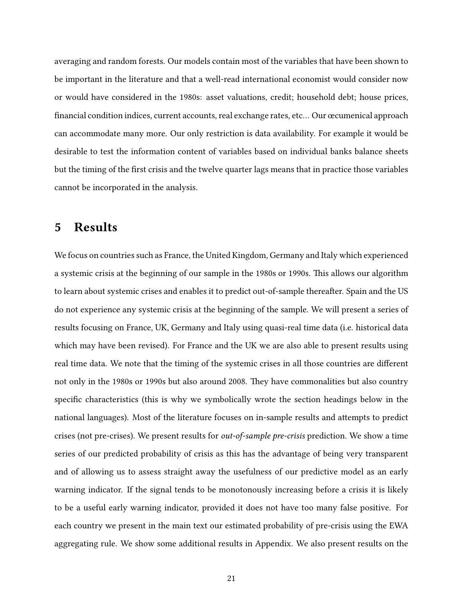averaging and random forests. Our models contain most of the variables that have been shown to be important in the literature and that a well-read international economist would consider now or would have considered in the 1980s: asset valuations, credit; household debt; house prices, financial condition indices, current accounts, real exchange rates, etc... Our œcumenical approach can accommodate many more. Our only restriction is data availability. For example it would be desirable to test the information content of variables based on individual banks balance sheets but the timing of the first crisis and the twelve quarter lags means that in practice those variables cannot be incorporated in the analysis.

# 5 Results

We focus on countries such as France, the United Kingdom, Germany and Italy which experienced a systemic crisis at the beginning of our sample in the 1980s or 1990s. This allows our algorithm to learn about systemic crises and enables it to predict out-of-sample thereafter. Spain and the US do not experience any systemic crisis at the beginning of the sample. We will present a series of results focusing on France, UK, Germany and Italy using quasi-real time data (i.e. historical data which may have been revised). For France and the UK we are also able to present results using real time data. We note that the timing of the systemic crises in all those countries are different not only in the 1980s or 1990s but also around 2008. They have commonalities but also country specific characteristics (this is why we symbolically wrote the section headings below in the national languages). Most of the literature focuses on in-sample results and attempts to predict crises (not pre-crises). We present results for out-of-sample pre-crisis prediction. We show a time series of our predicted probability of crisis as this has the advantage of being very transparent and of allowing us to assess straight away the usefulness of our predictive model as an early warning indicator. If the signal tends to be monotonously increasing before a crisis it is likely to be a useful early warning indicator, provided it does not have too many false positive. For each country we present in the main text our estimated probability of pre-crisis using the EWA aggregating rule. We show some additional results in Appendix. We also present results on the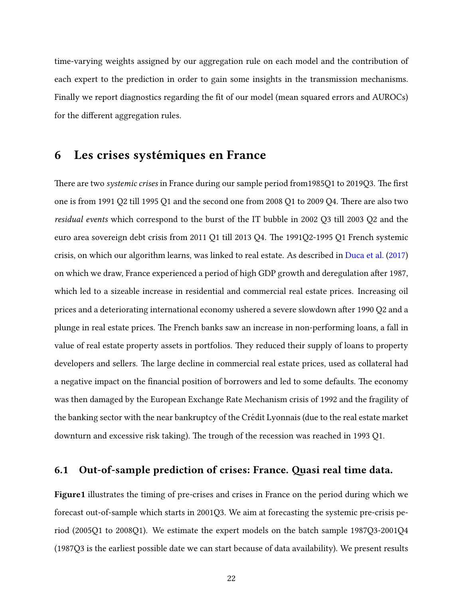time-varying weights assigned by our aggregation rule on each model and the contribution of each expert to the prediction in order to gain some insights in the transmission mechanisms. Finally we report diagnostics regarding the fit of our model (mean squared errors and AUROCs) for the different aggregation rules.

# 6 Les crises systémiques en France

There are two *systemic crises* in France during our sample period from1985Q1 to 2019Q3. The first one is from 1991 Q2 till 1995 Q1 and the second one from 2008 Q1 to 2009 Q4. There are also two residual events which correspond to the burst of the IT bubble in 2002 Q3 till 2003 Q2 and the euro area sovereign debt crisis from 2011 Q1 till 2013 Q4. The 1991Q2-1995 Q1 French systemic crisis, on which our algorithm learns, was linked to real estate. As described in [Duca et al.](#page-39-10) [\(2017\)](#page-39-10) on which we draw, France experienced a period of high GDP growth and deregulation after 1987, which led to a sizeable increase in residential and commercial real estate prices. Increasing oil prices and a deteriorating international economy ushered a severe slowdown after 1990 Q2 and a plunge in real estate prices. The French banks saw an increase in non-performing loans, a fall in value of real estate property assets in portfolios. They reduced their supply of loans to property developers and sellers. The large decline in commercial real estate prices, used as collateral had a negative impact on the financial position of borrowers and led to some defaults. The economy was then damaged by the European Exchange Rate Mechanism crisis of 1992 and the fragility of the banking sector with the near bankruptcy of the Credit Lyonnais (due to the real estate market ´ downturn and excessive risk taking). The trough of the recession was reached in 1993 Q1.

## 6.1 Out-of-sample prediction of crises: France. Quasi real time data.

Figur[e1](#page-25-0) illustrates the timing of pre-crises and crises in France on the period during which we forecast out-of-sample which starts in 2001Q3. We aim at forecasting the systemic pre-crisis period (2005Q1 to 2008Q1). We estimate the expert models on the batch sample 1987Q3-2001Q4 (1987Q3 is the earliest possible date we can start because of data availability). We present results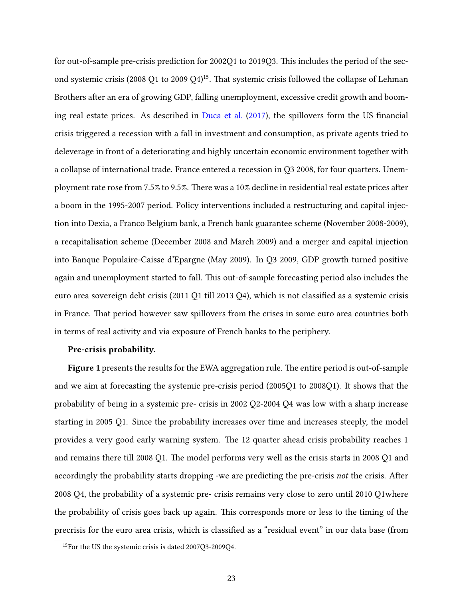for out-of-sample pre-crisis prediction for 2002Q1 to 2019Q3. This includes the period of the second systemic crisis (2008 Q1 to 2009 Q4)<sup>15</sup>. That systemic crisis followed the collapse of Lehman Brothers after an era of growing GDP, falling unemployment, excessive credit growth and boom-ing real estate prices. As described in [Duca et al.](#page-39-10)  $(2017)$ , the spillovers form the US financial crisis triggered a recession with a fall in investment and consumption, as private agents tried to deleverage in front of a deteriorating and highly uncertain economic environment together with a collapse of international trade. France entered a recession in Q3 2008, for four quarters. Unemployment rate rose from 7.5% to 9.5%. There was a 10% decline in residential real estate prices after a boom in the 1995-2007 period. Policy interventions included a restructuring and capital injection into Dexia, a Franco Belgium bank, a French bank guarantee scheme (November 2008-2009), a recapitalisation scheme (December 2008 and March 2009) and a merger and capital injection into Banque Populaire-Caisse d'Epargne (May 2009). In Q3 2009, GDP growth turned positive again and unemployment started to fall. This out-of-sample forecasting period also includes the euro area sovereign debt crisis (2011 Q1 till 2013 Q4), which is not classified as a systemic crisis in France. That period however saw spillovers from the crises in some euro area countries both in terms of real activity and via exposure of French banks to the periphery.

#### Pre-crisis probability.

Figure [1](#page-25-0) presents the results for the EWA aggregation rule. The entire period is out-of-sample and we aim at forecasting the systemic pre-crisis period (2005Q1 to 2008Q1). It shows that the probability of being in a systemic pre- crisis in 2002 Q2-2004 Q4 was low with a sharp increase starting in 2005 Q1. Since the probability increases over time and increases steeply, the model provides a very good early warning system. The 12 quarter ahead crisis probability reaches 1 and remains there till 2008 Q1. The model performs very well as the crisis starts in 2008 Q1 and accordingly the probability starts dropping -we are predicting the pre-crisis *not* the crisis. After 2008 Q4, the probability of a systemic pre- crisis remains very close to zero until 2010 Q1where the probability of crisis goes back up again. This corresponds more or less to the timing of the precrisis for the euro area crisis, which is classified as a "residual event" in our data base (from

<sup>15</sup>For the US the systemic crisis is dated 2007Q3-2009Q4.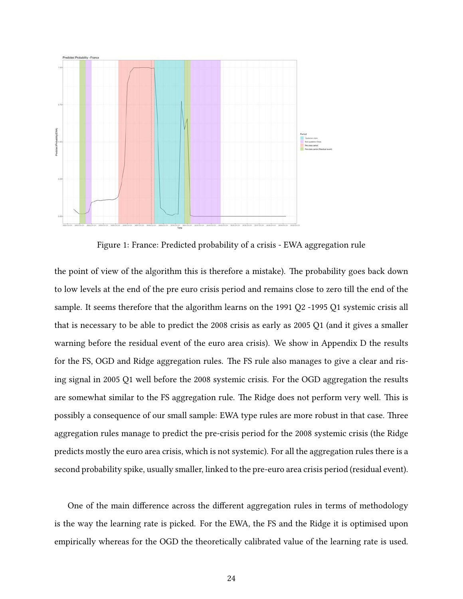

<span id="page-25-0"></span>Figure 1: France: Predicted probability of a crisis - EWA aggregation rule

the point of view of the algorithm this is therefore a mistake). The probability goes back down to low levels at the end of the pre euro crisis period and remains close to zero till the end of the sample. It seems therefore that the algorithm learns on the 1991 Q2 -1995 Q1 systemic crisis all that is necessary to be able to predict the 2008 crisis as early as 2005 Q1 (and it gives a smaller warning before the residual event of the euro area crisis). We show in Appendix D the results for the FS, OGD and Ridge aggregation rules. The FS rule also manages to give a clear and rising signal in 2005 Q1 well before the 2008 systemic crisis. For the OGD aggregation the results are somewhat similar to the FS aggregation rule. The Ridge does not perform very well. This is possibly a consequence of our small sample: EWA type rules are more robust in that case. Three aggregation rules manage to predict the pre-crisis period for the 2008 systemic crisis (the Ridge predicts mostly the euro area crisis, which is not systemic). For all the aggregation rules there is a second probability spike, usually smaller, linked to the pre-euro area crisis period (residual event).

One of the main difference across the different aggregation rules in terms of methodology is the way the learning rate is picked. For the EWA, the FS and the Ridge it is optimised upon empirically whereas for the OGD the theoretically calibrated value of the learning rate is used.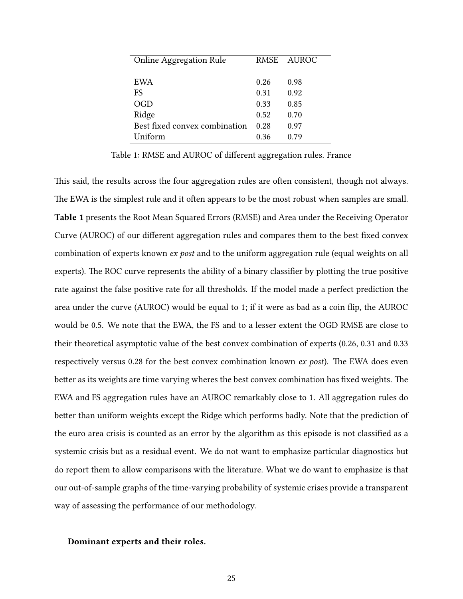| <b>Online Aggregation Rule</b> |      | RMSE AUROC |
|--------------------------------|------|------------|
|                                |      |            |
| EWA                            | 0.26 | 0.98       |
| FS.                            | 0.31 | 0.92       |
| OGD                            | 0.33 | 0.85       |
| Ridge                          | 0.52 | 0.70       |
| Best fixed convex combination  | 0.28 | 0.97       |
| Uniform                        | 0.36 | 0.79       |

Table 1: RMSE and AUROC of different aggregation rules. France

This said, the results across the four aggregation rules are often consistent, though not always. The EWA is the simplest rule and it often appears to be the most robust when samples are small. Table 1 presents the Root Mean Squared Errors (RMSE) and Area under the Receiving Operator Curve (AUROC) of our different aggregation rules and compares them to the best fixed convex combination of experts known ex post and to the uniform aggregation rule (equal weights on all experts). The ROC curve represents the ability of a binary classifier by plotting the true positive rate against the false positive rate for all thresholds. If the model made a perfect prediction the area under the curve (AUROC) would be equal to 1; if it were as bad as a coin flip, the AUROC would be 0.5. We note that the EWA, the FS and to a lesser extent the OGD RMSE are close to their theoretical asymptotic value of the best convex combination of experts (0.26, 0.31 and 0.33 respectively versus 0.28 for the best convex combination known  $ex$  post). The EWA does even better as its weights are time varying wheres the best convex combination has fixed weights. The EWA and FS aggregation rules have an AUROC remarkably close to 1. All aggregation rules do better than uniform weights except the Ridge which performs badly. Note that the prediction of the euro area crisis is counted as an error by the algorithm as this episode is not classified as a systemic crisis but as a residual event. We do not want to emphasize particular diagnostics but do report them to allow comparisons with the literature. What we do want to emphasize is that our out-of-sample graphs of the time-varying probability of systemic crises provide a transparent way of assessing the performance of our methodology.

#### Dominant experts and their roles.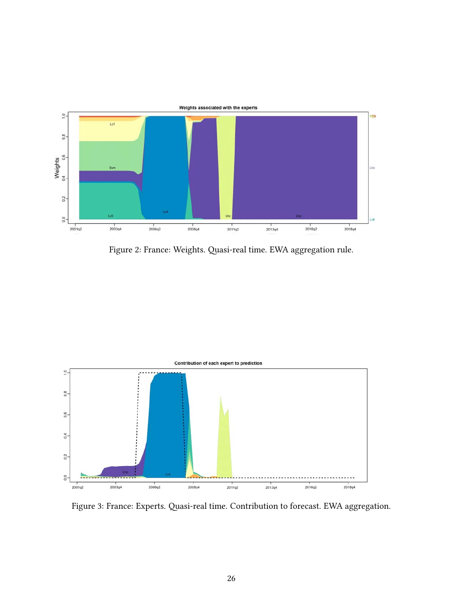

<span id="page-27-0"></span>Figure 2: France: Weights. Quasi-real time. EWA aggregation rule.



<span id="page-27-1"></span>Figure 3: France: Experts. Quasi-real time. Contribution to forecast. EWA aggregation.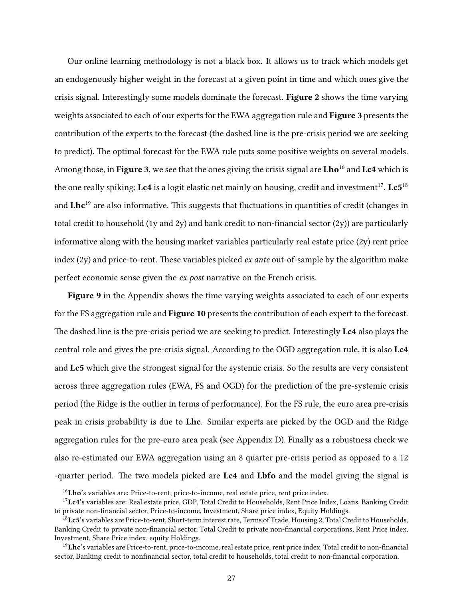Our online learning methodology is not a black box. It allows us to track which models get an endogenously higher weight in the forecast at a given point in time and which ones give the crisis signal. Interestingly some models dominate the forecast. Figure [2](#page-27-0) shows the time varying weights associated to each of our experts for the EWA aggregation rule and **Figure [3](#page-27-1)** presents the contribution of the experts to the forecast (the dashed line is the pre-crisis period we are seeking to predict). The optimal forecast for the EWA rule puts some positive weights on several models. Among those, in Figure [3](#page-27-1), we see that the ones giving the crisis signal are Lho<sup>16</sup> and Lc4 which is the one really spiking;  $\boldsymbol{\mathrm{Lc4}}$  is a logit elastic net mainly on housing, credit and investment $^{17}$ .  $\boldsymbol{\mathrm{Lc5}}^{18}$ and  $\mathbf{Lhc}^{19}$  are also informative. This suggests that fluctuations in quantities of credit (changes in total credit to household (1y and 2y) and bank credit to non-financial sector  $(2y)$ ) are particularly informative along with the housing market variables particularly real estate price (2y) rent price index  $(2y)$  and price-to-rent. These variables picked *ex ante* out-of-sample by the algorithm make perfect economic sense given the *ex post* narrative on the French crisis.

Figure [9](#page-62-0) in the Appendix shows the time varying weights associated to each of our experts for the FS aggregation rule and **Figure [10](#page-62-1)** presents the contribution of each expert to the forecast. The dashed line is the pre-crisis period we are seeking to predict. Interestingly Lc4 also plays the central role and gives the pre-crisis signal. According to the OGD aggregation rule, it is also Lc4 and Lc5 which give the strongest signal for the systemic crisis. So the results are very consistent across three aggregation rules (EWA, FS and OGD) for the prediction of the pre-systemic crisis period (the Ridge is the outlier in terms of performance). For the FS rule, the euro area pre-crisis peak in crisis probability is due to Lhc. Similar experts are picked by the OGD and the Ridge aggregation rules for the pre-euro area peak (see Appendix D). Finally as a robustness check we also re-estimated our EWA aggregation using an 8 quarter pre-crisis period as opposed to a 12 -quarter period. The two models picked are Lc4 and Lbfo and the model giving the signal is

 $16$ Lho's variables are: Price-to-rent, price-to-income, real estate price, rent price index.

<sup>&</sup>lt;sup>17</sup>Lc4's variables are: Real estate price, GDP, Total Credit to Households, Rent Price Index, Loans, Banking Credit to private non-financial sector, Price-to-income, Investment, Share price index, Equity Holdings.

<sup>&</sup>lt;sup>18</sup>Lc5's variables are Price-to-rent, Short-term interest rate, Terms of Trade, Housing 2, Total Credit to Households, Banking Credit to private non-financial sector, Total Credit to private non-financial corporations, Rent Price index, Investment, Share Price index, equity Holdings.

<sup>&</sup>lt;sup>19</sup>Lhc's variables are Price-to-rent, price-to-income, real estate price, rent price index, Total credit to non-financial sector, Banking credit to nonfinancial sector, total credit to households, total credit to non-financial corporation.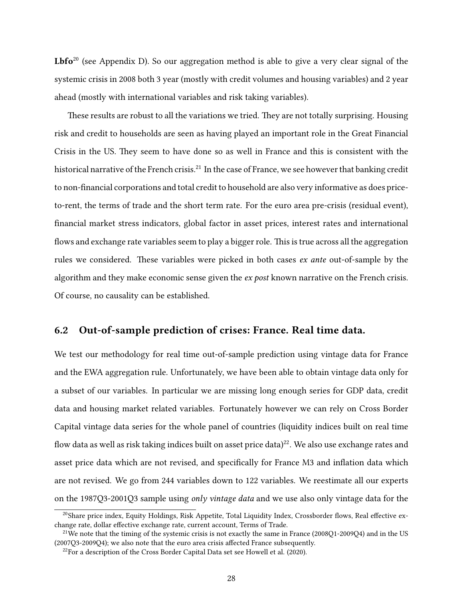**Lbfo**<sup>20</sup> (see Appendix D). So our aggregation method is able to give a very clear signal of the systemic crisis in 2008 both 3 year (mostly with credit volumes and housing variables) and 2 year ahead (mostly with international variables and risk taking variables).

These results are robust to all the variations we tried. They are not totally surprising. Housing risk and credit to households are seen as having played an important role in the Great Financial Crisis in the US. They seem to have done so as well in France and this is consistent with the historical narrative of the French crisis.<sup>21</sup> In the case of France, we see however that banking credit to non-financial corporations and total credit to household are also very informative as does priceto-rent, the terms of trade and the short term rate. For the euro area pre-crisis (residual event), financial market stress indicators, global factor in asset prices, interest rates and international flows and exchange rate variables seem to play a bigger role. This is true across all the aggregation rules we considered. These variables were picked in both cases ex ante out-of-sample by the algorithm and they make economic sense given the *ex post* known narrative on the French crisis. Of course, no causality can be established.

## 6.2 Out-of-sample prediction of crises: France. Real time data.

We test our methodology for real time out-of-sample prediction using vintage data for France and the EWA aggregation rule. Unfortunately, we have been able to obtain vintage data only for a subset of our variables. In particular we are missing long enough series for GDP data, credit data and housing market related variables. Fortunately however we can rely on Cross Border Capital vintage data series for the whole panel of countries (liquidity indices built on real time flow data as well as risk taking indices built on asset price data)<sup>22</sup>. We also use exchange rates and asset price data which are not revised, and specifically for France M3 and inflation data which are not revised. We go from 244 variables down to 122 variables. We reestimate all our experts on the 1987Q3-2001Q3 sample using only vintage data and we use also only vintage data for the

 $^{20}$ Share price index, Equity Holdings, Risk Appetite, Total Liquidity Index, Crossborder flows, Real effective exchange rate, dollar effective exchange rate, current account, Terms of Trade.

<sup>&</sup>lt;sup>21</sup>We note that the timing of the systemic crisis is not exactly the same in France (2008O1-2009O4) and in the US  $(2007O3 - 2009O4)$ ; we also note that the euro area crisis affected France subsequently.

 $22$ For a description of the Cross Border Capital Data set see Howell et al. (2020).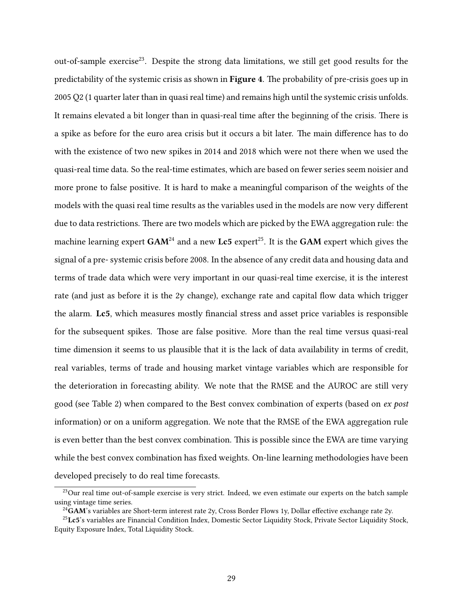out-of-sample exercise<sup>23</sup>. Despite the strong data limitations, we still get good results for the predictability of the systemic crisis as shown in **Figure [4](#page-31-0)**. The probability of pre-crisis goes up in 2005 Q2 (1 quarter later than in quasi real time) and remains high until the systemic crisis unfolds. It remains elevated a bit longer than in quasi-real time after the beginning of the crisis. There is a spike as before for the euro area crisis but it occurs a bit later. The main difference has to do with the existence of two new spikes in 2014 and 2018 which were not there when we used the quasi-real time data. So the real-time estimates, which are based on fewer series seem noisier and more prone to false positive. It is hard to make a meaningful comparison of the weights of the models with the quasi real time results as the variables used in the models are now very different due to data restrictions. There are two models which are picked by the EWA aggregation rule: the machine learning expert  $GAM^{24}$  and a new Lc5 expert<sup>25</sup>. It is the  $GAM$  expert which gives the signal of a pre- systemic crisis before 2008. In the absence of any credit data and housing data and terms of trade data which were very important in our quasi-real time exercise, it is the interest rate (and just as before it is the 2y change), exchange rate and capital flow data which trigger the alarm. Lc5, which measures mostly financial stress and asset price variables is responsible for the subsequent spikes. Those are false positive. More than the real time versus quasi-real time dimension it seems to us plausible that it is the lack of data availability in terms of credit, real variables, terms of trade and housing market vintage variables which are responsible for the deterioration in forecasting ability. We note that the RMSE and the AUROC are still very good (see Table 2) when compared to the Best convex combination of experts (based on ex post information) or on a uniform aggregation. We note that the RMSE of the EWA aggregation rule is even better than the best convex combination. This is possible since the EWA are time varying while the best convex combination has fixed weights. On-line learning methodologies have been developed precisely to do real time forecasts.

<sup>&</sup>lt;sup>23</sup>Our real time out-of-sample exercise is very strict. Indeed, we even estimate our experts on the batch sample using vintage time series.

<sup>&</sup>lt;sup>24</sup>GAM's variables are Short-term interest rate 2y, Cross Border Flows 1y, Dollar effective exchange rate 2y.

<sup>&</sup>lt;sup>25</sup>Lc5's variables are Financial Condition Index, Domestic Sector Liquidity Stock, Private Sector Liquidity Stock, Equity Exposure Index, Total Liquidity Stock.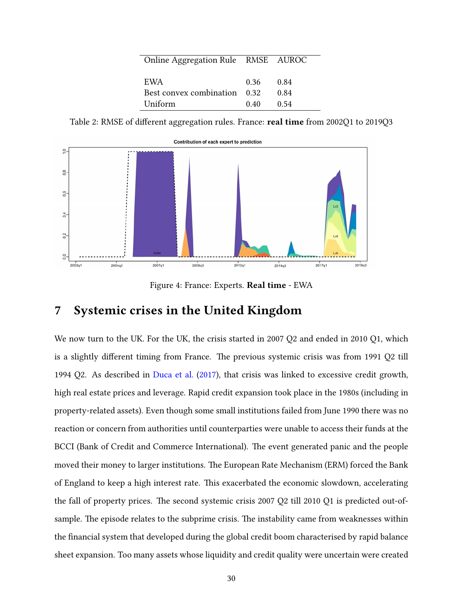| Online Aggregation Rule RMSE AUROC |             |      |
|------------------------------------|-------------|------|
|                                    |             |      |
|                                    |             |      |
| EWA                                | $0.36$ 0.84 |      |
| Best convex combination 0.32       |             | 0.84 |
| Uniform                            | 0.40        | 0.54 |

Table 2: RMSE of different aggregation rules. France: real time from 2002Q1 to 2019Q3



<span id="page-31-0"></span>Figure 4: France: Experts. Real time - EWA

# 7 Systemic crises in the United Kingdom

We now turn to the UK. For the UK, the crisis started in 2007 Q2 and ended in 2010 Q1, which is a slightly different timing from France. The previous systemic crisis was from 1991 Q2 till 1994 Q2. As described in [Duca et al.](#page-39-10) [\(2017\)](#page-39-10), that crisis was linked to excessive credit growth, high real estate prices and leverage. Rapid credit expansion took place in the 1980s (including in property-related assets). Even though some small institutions failed from June 1990 there was no reaction or concern from authorities until counterparties were unable to access their funds at the BCCI (Bank of Credit and Commerce International). The event generated panic and the people moved their money to larger institutions. The European Rate Mechanism (ERM) forced the Bank of England to keep a high interest rate. This exacerbated the economic slowdown, accelerating the fall of property prices. The second systemic crisis 2007 Q2 till 2010 Q1 is predicted out-ofsample. The episode relates to the subprime crisis. The instability came from weaknesses within the financial system that developed during the global credit boom characterised by rapid balance sheet expansion. Too many assets whose liquidity and credit quality were uncertain were created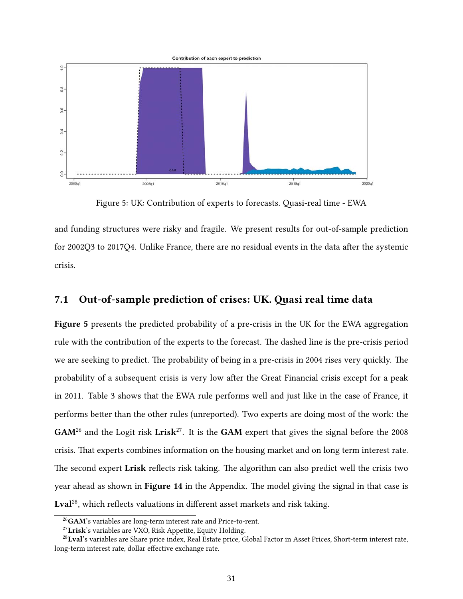

<span id="page-32-0"></span>Figure 5: UK: Contribution of experts to forecasts. Quasi-real time - EWA

and funding structures were risky and fragile. We present results for out-of-sample prediction for 2002Q3 to 2017Q4. Unlike France, there are no residual events in the data after the systemic crisis.

## 7.1 Out-of-sample prediction of crises: UK. Quasi real time data

Figure [5](#page-32-0) presents the predicted probability of a pre-crisis in the UK for the EWA aggregation rule with the contribution of the experts to the forecast. The dashed line is the pre-crisis period we are seeking to predict. The probability of being in a pre-crisis in 2004 rises very quickly. The probability of a subsequent crisis is very low after the Great Financial crisis except for a peak in 2011. Table 3 shows that the EWA rule performs well and just like in the case of France, it performs better than the other rules (unreported). Two experts are doing most of the work: the  $GAM<sup>26</sup>$  and the Logit risk Lrisk<sup>27</sup>. It is the GAM expert that gives the signal before the 2008 crisis. That experts combines information on the housing market and on long term interest rate. The second expert Lrisk reflects risk taking. The algorithm can also predict well the crisis two year ahead as shown in Figure [14](#page-63-0) in the Appendix. The model giving the signal in that case is Lval<sup>28</sup>, which reflects valuations in different asset markets and risk taking.

<sup>&</sup>lt;sup>26</sup>GAM's variables are long-term interest rate and Price-to-rent.

<sup>27</sup>Lrisk's variables are VXO, Risk Appetite, Equity Holding.

<sup>&</sup>lt;sup>28</sup>Lval's variables are Share price index, Real Estate price, Global Factor in Asset Prices, Short-term interest rate, long-term interest rate, dollar effective exchange rate.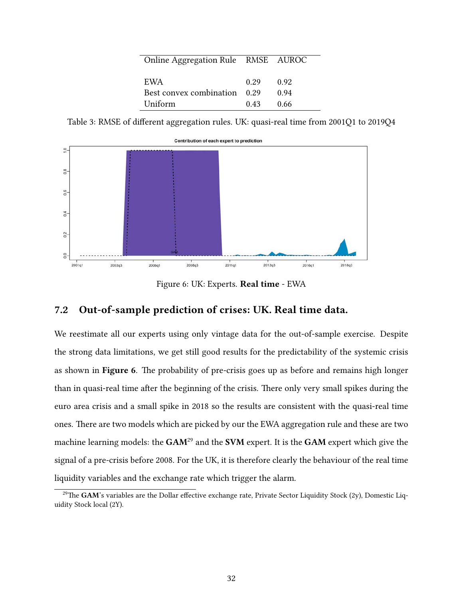| Online Aggregation Rule RMSE AUROC |      |       |
|------------------------------------|------|-------|
|                                    |      |       |
|                                    |      |       |
| EWA                                | 0.29 | 0.92  |
| Best convex combination 0.29       |      | 0.94  |
| Uniform                            | 0.43 | -0.66 |

Table 3: RMSE of different aggregation rules. UK: quasi-real time from 2001Q1 to 2019Q4



<span id="page-33-0"></span>Figure 6: UK: Experts. Real time - EWA

## 7.2 Out-of-sample prediction of crises: UK. Real time data.

We reestimate all our experts using only vintage data for the out-of-sample exercise. Despite the strong data limitations, we get still good results for the predictability of the systemic crisis as shown in Figure [6](#page-33-0). The probability of pre-crisis goes up as before and remains high longer than in quasi-real time after the beginning of the crisis. There only very small spikes during the euro area crisis and a small spike in 2018 so the results are consistent with the quasi-real time ones. There are two models which are picked by our the EWA aggregation rule and these are two machine learning models: the GAM<sup>29</sup> and the SVM expert. It is the GAM expert which give the signal of a pre-crisis before 2008. For the UK, it is therefore clearly the behaviour of the real time liquidity variables and the exchange rate which trigger the alarm.

<sup>&</sup>lt;sup>29</sup>The GAM's variables are the Dollar effective exchange rate, Private Sector Liquidity Stock (2y), Domestic Liquidity Stock local (2Y).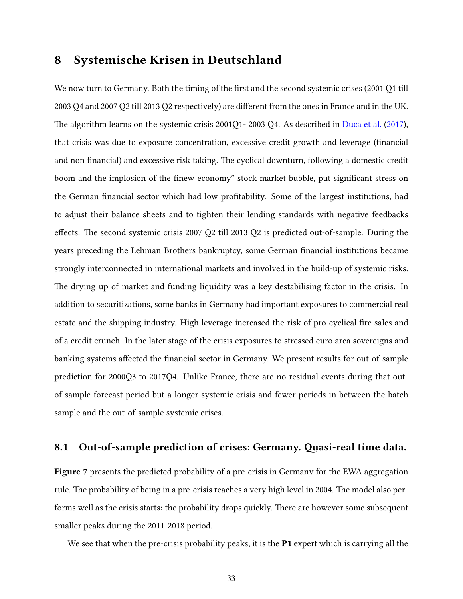# 8 Systemische Krisen in Deutschland

We now turn to Germany. Both the timing of the first and the second systemic crises (2001 Q1 till 2003 Q4 and 2007 Q2 till 2013 Q2 respectively) are different from the ones in France and in the UK. The algorithm learns on the systemic crisis 2001Q1- 2003 Q4. As described in [Duca et al.](#page-39-10) [\(2017\)](#page-39-10), that crisis was due to exposure concentration, excessive credit growth and leverage (financial and non financial) and excessive risk taking. The cyclical downturn, following a domestic credit boom and the implosion of the finew economy" stock market bubble, put significant stress on the German financial sector which had low profitability. Some of the largest institutions, had to adjust their balance sheets and to tighten their lending standards with negative feedbacks effects. The second systemic crisis 2007 Q2 till 2013 Q2 is predicted out-of-sample. During the years preceding the Lehman Brothers bankruptcy, some German financial institutions became strongly interconnected in international markets and involved in the build-up of systemic risks. The drying up of market and funding liquidity was a key destabilising factor in the crisis. In addition to securitizations, some banks in Germany had important exposures to commercial real estate and the shipping industry. High leverage increased the risk of pro-cyclical fire sales and of a credit crunch. In the later stage of the crisis exposures to stressed euro area sovereigns and banking systems affected the financial sector in Germany. We present results for out-of-sample prediction for 2000Q3 to 2017Q4. Unlike France, there are no residual events during that outof-sample forecast period but a longer systemic crisis and fewer periods in between the batch sample and the out-of-sample systemic crises.

## 8.1 Out-of-sample prediction of crises: Germany. Quasi-real time data.

Figure [7](#page-35-0) presents the predicted probability of a pre-crisis in Germany for the EWA aggregation rule. The probability of being in a pre-crisis reaches a very high level in 2004. The model also performs well as the crisis starts: the probability drops quickly. There are however some subsequent smaller peaks during the 2011-2018 period.

We see that when the pre-crisis probability peaks, it is the **P1** expert which is carrying all the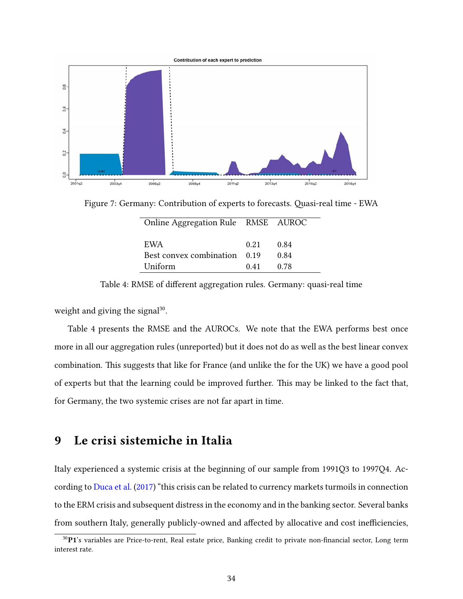

Figure 7: Germany: Contribution of experts to forecasts. Quasi-real time - EWA

<span id="page-35-0"></span>

| Online Aggregation Rule RMSE AUROC |      |      |  |
|------------------------------------|------|------|--|
| EWA                                | 0.21 | 0.84 |  |
| Best convex combination 0.19       |      | 0.84 |  |
| Uniform                            | 0.41 | 0.78 |  |

Table 4: RMSE of different aggregation rules. Germany: quasi-real time

weight and giving the signal<sup>30</sup>.

Table 4 presents the RMSE and the AUROCs. We note that the EWA performs best once more in all our aggregation rules (unreported) but it does not do as well as the best linear convex combination. This suggests that like for France (and unlike the for the UK) we have a good pool of experts but that the learning could be improved further. This may be linked to the fact that, for Germany, the two systemic crises are not far apart in time.

## 9 Le crisi sistemiche in Italia

Italy experienced a systemic crisis at the beginning of our sample from 1991Q3 to 1997Q4. According to [Duca et al.](#page-39-10) [\(2017\)](#page-39-10) "this crisis can be related to currency markets turmoils in connection to the ERM crisis and subsequent distress in the economy and in the banking sector. Several banks from southern Italy, generally publicly-owned and affected by allocative and cost inefficiencies,

 $30P1$ 's variables are Price-to-rent, Real estate price, Banking credit to private non-financial sector, Long term interest rate.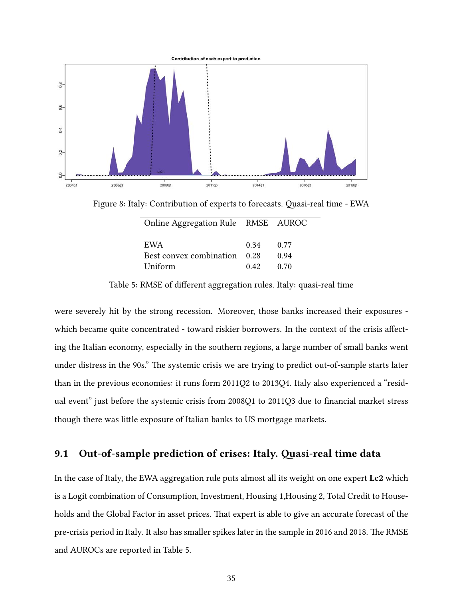

Figure 8: Italy: Contribution of experts to forecasts. Quasi-real time - EWA

| Online Aggregation Rule RMSE AUROC |      |      |
|------------------------------------|------|------|
|                                    |      |      |
| EWA                                | 0.34 | 0.77 |
| Best convex combination 0.28       |      | 0.94 |
| Uniform                            | 0.42 | 0.70 |

Table 5: RMSE of different aggregation rules. Italy: quasi-real time

were severely hit by the strong recession. Moreover, those banks increased their exposures which became quite concentrated - toward riskier borrowers. In the context of the crisis affecting the Italian economy, especially in the southern regions, a large number of small banks went under distress in the 90s." The systemic crisis we are trying to predict out-of-sample starts later than in the previous economies: it runs form 2011Q2 to 2013Q4. Italy also experienced a "residual event" just before the systemic crisis from 2008Q1 to 2011Q3 due to financial market stress though there was little exposure of Italian banks to US mortgage markets.

## 9.1 Out-of-sample prediction of crises: Italy. Quasi-real time data

In the case of Italy, the EWA aggregation rule puts almost all its weight on one expert Lc2 which is a Logit combination of Consumption, Investment, Housing 1,Housing 2, Total Credit to Households and the Global Factor in asset prices. That expert is able to give an accurate forecast of the pre-crisis period in Italy. It also has smaller spikes later in the sample in 2016 and 2018. The RMSE and AUROCs are reported in Table 5.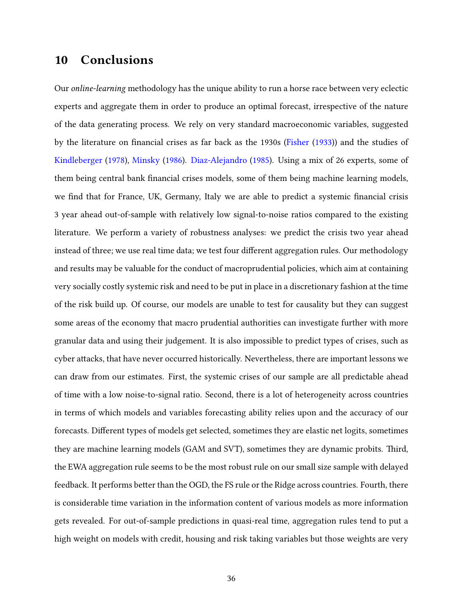# 10 Conclusions

Our online-learning methodology has the unique ability to run a horse race between very eclectic experts and aggregate them in order to produce an optimal forecast, irrespective of the nature of the data generating process. We rely on very standard macroeconomic variables, suggested by the literature on financial crises as far back as the 1930s [\(Fisher](#page-39-0) [\(1933\)](#page-39-0)) and the studies of [Kindleberger](#page-40-2) [\(1978\)](#page-40-2), [Minsky](#page-40-1) [\(1986\)](#page-40-1). [Diaz-Alejandro](#page-39-5) [\(1985\)](#page-39-5). Using a mix of 26 experts, some of them being central bank financial crises models, some of them being machine learning models, we find that for France, UK, Germany, Italy we are able to predict a systemic financial crisis 3 year ahead out-of-sample with relatively low signal-to-noise ratios compared to the existing literature. We perform a variety of robustness analyses: we predict the crisis two year ahead instead of three; we use real time data; we test four different aggregation rules. Our methodology and results may be valuable for the conduct of macroprudential policies, which aim at containing very socially costly systemic risk and need to be put in place in a discretionary fashion at the time of the risk build up. Of course, our models are unable to test for causality but they can suggest some areas of the economy that macro prudential authorities can investigate further with more granular data and using their judgement. It is also impossible to predict types of crises, such as cyber attacks, that have never occurred historically. Nevertheless, there are important lessons we can draw from our estimates. First, the systemic crises of our sample are all predictable ahead of time with a low noise-to-signal ratio. Second, there is a lot of heterogeneity across countries in terms of which models and variables forecasting ability relies upon and the accuracy of our forecasts. Different types of models get selected, sometimes they are elastic net logits, sometimes they are machine learning models (GAM and SVT), sometimes they are dynamic probits. Third, the EWA aggregation rule seems to be the most robust rule on our small size sample with delayed feedback. It performs better than the OGD, the FS rule or the Ridge across countries. Fourth, there is considerable time variation in the information content of various models as more information gets revealed. For out-of-sample predictions in quasi-real time, aggregation rules tend to put a high weight on models with credit, housing and risk taking variables but those weights are very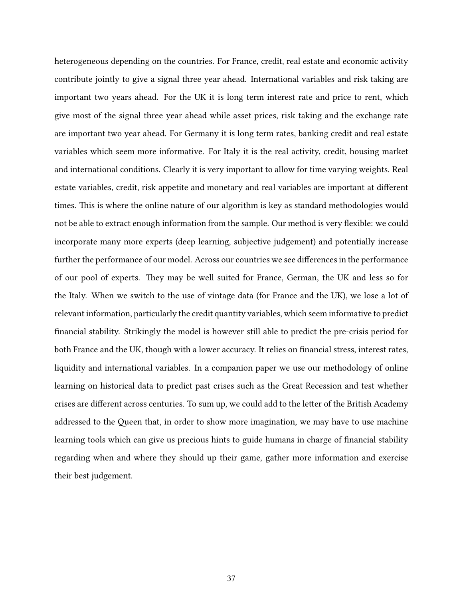heterogeneous depending on the countries. For France, credit, real estate and economic activity contribute jointly to give a signal three year ahead. International variables and risk taking are important two years ahead. For the UK it is long term interest rate and price to rent, which give most of the signal three year ahead while asset prices, risk taking and the exchange rate are important two year ahead. For Germany it is long term rates, banking credit and real estate variables which seem more informative. For Italy it is the real activity, credit, housing market and international conditions. Clearly it is very important to allow for time varying weights. Real estate variables, credit, risk appetite and monetary and real variables are important at different times. This is where the online nature of our algorithm is key as standard methodologies would not be able to extract enough information from the sample. Our method is very flexible: we could incorporate many more experts (deep learning, subjective judgement) and potentially increase further the performance of our model. Across our countries we see differences in the performance of our pool of experts. They may be well suited for France, German, the UK and less so for the Italy. When we switch to the use of vintage data (for France and the UK), we lose a lot of relevant information, particularly the credit quantity variables, which seem informative to predict nancial stability. Strikingly the model is however still able to predict the pre-crisis period for both France and the UK, though with a lower accuracy. It relies on financial stress, interest rates, liquidity and international variables. In a companion paper we use our methodology of online learning on historical data to predict past crises such as the Great Recession and test whether crises are different across centuries. To sum up, we could add to the letter of the British Academy addressed to the Queen that, in order to show more imagination, we may have to use machine learning tools which can give us precious hints to guide humans in charge of financial stability regarding when and where they should up their game, gather more information and exercise their best judgement.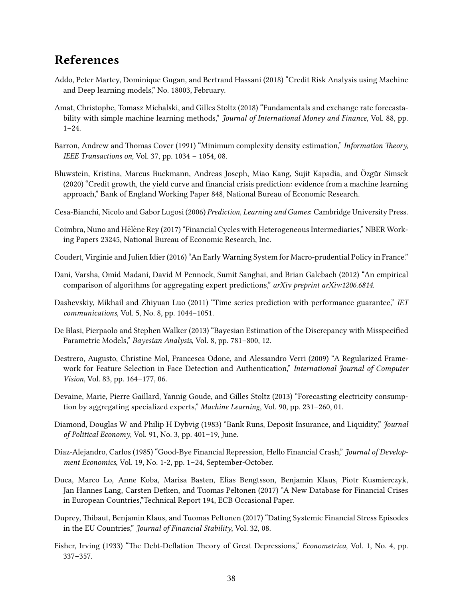# References

- <span id="page-39-15"></span>Addo, Peter Martey, Dominique Gugan, and Bertrand Hassani (2018) "Credit Risk Analysis using Machine and Deep learning models," No. 18003, February.
- <span id="page-39-6"></span>Amat, Christophe, Tomasz Michalski, and Gilles Stoltz (2018) "Fundamentals and exchange rate forecastability with simple machine learning methods," *Journal of International Money and Finance*, Vol. 88, pp. 1–24.
- <span id="page-39-13"></span>Barron, Andrew and Thomas Cover (1991) "Minimum complexity density estimation," Information Theory, IEEE Transactions on, Vol. 37, pp. 1034 – 1054, 08.
- <span id="page-39-3"></span>Bluwstein, Kristina, Marcus Buckmann, Andreas Joseph, Miao Kang, Sujit Kapadia, and Özgür Simsek (2020) "Credit growth, the yield curve and financial crisis prediction: evidence from a machine learning approach," Bank of England Working Paper 848, National Bureau of Economic Research.
- <span id="page-39-4"></span>Cesa-Bianchi, Nicolo and Gabor Lugosi (2006) Prediction, Learning and Games: Cambridge University Press.
- <span id="page-39-2"></span>Coimbra, Nuno and Hélène Rey (2017) "Financial Cycles with Heterogeneous Intermediaries," NBER Working Papers 23245, National Bureau of Economic Research, Inc.
- <span id="page-39-16"></span>Coudert, Virginie and Julien Idier (2016) "An Early Warning System for Macro-prudential Policy in France."
- <span id="page-39-9"></span>Dani, Varsha, Omid Madani, David M Pennock, Sumit Sanghai, and Brian Galebach (2012) "An empirical comparison of algorithms for aggregating expert predictions," arXiv preprint arXiv:1206.6814.
- <span id="page-39-8"></span>Dashevskiy, Mikhail and Zhiyuan Luo (2011) "Time series prediction with performance guarantee," IET communications, Vol. 5, No. 8, pp. 1044–1051.
- <span id="page-39-12"></span>De Blasi, Pierpaolo and Stephen Walker (2013) "Bayesian Estimation of the Discrepancy with Misspecified Parametric Models," Bayesian Analysis, Vol. 8, pp. 781–800, 12.
- <span id="page-39-14"></span>Destrero, Augusto, Christine Mol, Francesca Odone, and Alessandro Verri (2009) "A Regularized Framework for Feature Selection in Face Detection and Authentication," International Journal of Computer Vision, Vol. 83, pp. 164–177, 06.
- <span id="page-39-7"></span>Devaine, Marie, Pierre Gaillard, Yannig Goude, and Gilles Stoltz (2013) "Forecasting electricity consumption by aggregating specialized experts," Machine Learning, Vol. 90, pp. 231–260, 01.
- <span id="page-39-1"></span>Diamond, Douglas W and Philip H Dybvig (1983) "Bank Runs, Deposit Insurance, and Liquidity," Journal of Political Economy, Vol. 91, No. 3, pp. 401–19, June.
- <span id="page-39-5"></span>Diaz-Alejandro, Carlos (1985) "Good-Bye Financial Repression, Hello Financial Crash," Journal of Development Economics, Vol. 19, No. 1-2, pp. 1–24, September-October.
- <span id="page-39-10"></span>Duca, Marco Lo, Anne Koba, Marisa Basten, Elias Bengtsson, Benjamin Klaus, Piotr Kusmierczyk, Jan Hannes Lang, Carsten Detken, and Tuomas Peltonen (2017) "A New Database for Financial Crises in European Countries,"Technical Report 194, ECB Occasional Paper.
- <span id="page-39-11"></span>Duprey, Thibaut, Benjamin Klaus, and Tuomas Peltonen (2017) "Dating Systemic Financial Stress Episodes in the EU Countries," Journal of Financial Stability, Vol. 32, 08.
- <span id="page-39-0"></span>Fisher, Irving (1933) "The Debt-Deflation Theory of Great Depressions," Econometrica, Vol. 1, No. 4, pp. 337–357.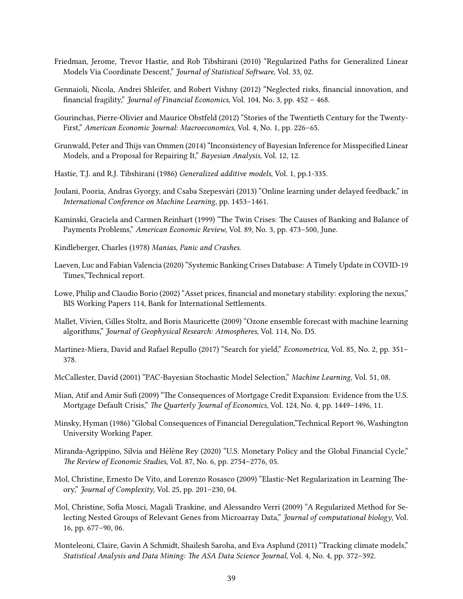- <span id="page-40-18"></span>Friedman, Jerome, Trevor Hastie, and Rob Tibshirani (2010) "Regularized Paths for Generalized Linear Models Via Coordinate Descent," Journal of Statistical Software, Vol. 33, 02.
- <span id="page-40-4"></span>Gennaioli, Nicola, Andrei Shleifer, and Robert Vishny (2012) "Neglected risks, financial innovation, and financial fragility," Journal of Financial Economics, Vol. 104, No. 3, pp. 452 - 468.
- <span id="page-40-6"></span>Gourinchas, Pierre-Olivier and Maurice Obstfeld (2012) "Stories of the Twentieth Century for the Twenty-First," American Economic Journal: Macroeconomics, Vol. 4, No. 1, pp. 226–65.
- <span id="page-40-11"></span>Grunwald, Peter and Thijs van Ommen (2014) "Inconsistency of Bayesian Inference for Misspecified Linear Models, and a Proposal for Repairing It," Bayesian Analysis, Vol. 12, 12.
- <span id="page-40-17"></span>Hastie, T.J. and R.J. Tibshirani (1986) Generalized additive models, Vol. 1, pp.1-335.
- <span id="page-40-14"></span>Joulani, Pooria, Andras Gyorgy, and Csaba Szepesvari (2013) "Online learning under delayed feedback," in ´ International Conference on Machine Learning, pp. 1453–1461.
- <span id="page-40-5"></span>Kaminski, Graciela and Carmen Reinhart (1999) "The Twin Crises: The Causes of Banking and Balance of Payments Problems," American Economic Review, Vol. 89, No. 3, pp. 473–500, June.
- <span id="page-40-2"></span>Kindleberger, Charles (1978) Manias, Panic and Crashes.
- <span id="page-40-0"></span>Laeven, Luc and Fabian Valencia (2020) "Systemic Banking Crises Database: A Timely Update in COVID-19 Times,"Technical report.
- <span id="page-40-7"></span>Lowe, Philip and Claudio Borio (2002) "Asset prices, financial and monetary stability: exploring the nexus," BIS Working Papers 114, Bank for International Settlements.
- <span id="page-40-10"></span>Mallet, Vivien, Gilles Stoltz, and Boris Mauricette (2009) "Ozone ensemble forecast with machine learning algorithms," Journal of Geophysical Research: Atmospheres, Vol. 114, No. D5.
- <span id="page-40-3"></span>Martinez-Miera, David and Rafael Repullo (2017) "Search for yield," Econometrica, Vol. 85, No. 2, pp. 351– 378.
- <span id="page-40-13"></span>McCallester, David (2001) "PAC-Bayesian Stochastic Model Selection," Machine Learning, Vol. 51, 08.
- <span id="page-40-8"></span>Mian, Atif and Amir Sufi (2009) "The Consequences of Mortgage Credit Expansion: Evidence from the U.S. Mortgage Default Crisis," The Quarterly Journal of Economics, Vol. 124, No. 4, pp. 1449-1496, 11.
- <span id="page-40-1"></span>Minsky, Hyman (1986) "Global Consequences of Financial Deregulation,"Technical Report 96, Washington University Working Paper.
- <span id="page-40-12"></span>Miranda-Agrippino, Silvia and Hélène Rey (2020) "U.S. Monetary Policy and the Global Financial Cycle," The Review of Economic Studies, Vol. 87, No. 6, pp. 2754-2776, 05.
- <span id="page-40-15"></span>Mol, Christine, Ernesto De Vito, and Lorenzo Rosasco (2009) "Elastic-Net Regularization in Learning Theory," Journal of Complexity, Vol. 25, pp. 201–230, 04.
- <span id="page-40-16"></span>Mol, Christine, Sofia Mosci, Magali Traskine, and Alessandro Verri (2009) "A Regularized Method for Selecting Nested Groups of Relevant Genes from Microarray Data," Journal of computational biology, Vol. 16, pp. 677–90, 06.
- <span id="page-40-9"></span>Monteleoni, Claire, Gavin A Schmidt, Shailesh Saroha, and Eva Asplund (2011) "Tracking climate models," Statistical Analysis and Data Mining: The ASA Data Science Journal, Vol. 4, No. 4, pp. 372-392.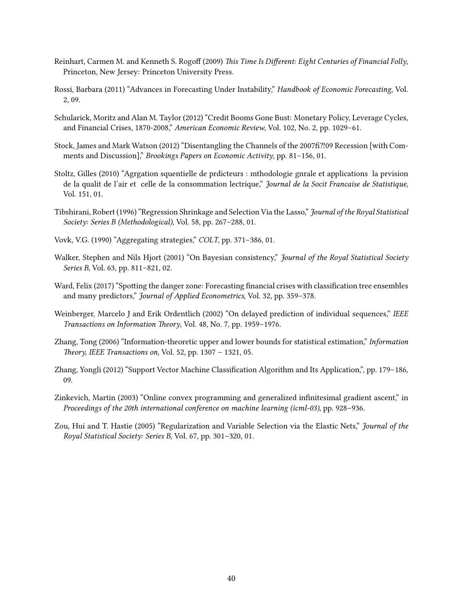- <span id="page-41-0"></span>Reinhart, Carmen M. and Kenneth S. Rogoff (2009) This Time Is Different: Eight Centuries of Financial Folly, Princeton, New Jersey: Princeton University Press.
- <span id="page-41-3"></span>Rossi, Barbara (2011) "Advances in Forecasting Under Instability," Handbook of Economic Forecasting, Vol. 2, 09.
- <span id="page-41-1"></span>Schularick, Moritz and Alan M. Taylor (2012) "Credit Booms Gone Bust: Monetary Policy, Leverage Cycles, and Financial Crises, 1870-2008," American Economic Review, Vol. 102, No. 2, pp. 1029–61.
- <span id="page-41-4"></span>Stock, James and Mark Watson (2012) "Disentangling the Channels of the 2007fi?!09 Recession [with Comments and Discussion]," Brookings Papers on Economic Activity, pp. 81–156, 01.
- <span id="page-41-9"></span>Stoltz, Gilles (2010) "Agrgation squentielle de prdicteurs : mthodologie gnrale et applications la prvision de la qualit de l'air et celle de la consommation lectrique," Journal de la Socit Francaise de Statistique, Vol. 151, 01.
- <span id="page-41-12"></span>Tibshirani, Robert (1996) "Regression Shrinkage and Selection Via the Lasso," Journal of the Royal Statistical Society: Series B (Methodological), Vol. 58, pp. 267–288, 01.
- <span id="page-41-5"></span>Vovk, V.G. (1990) "Aggregating strategies," COLT, pp. 371–386, 01.
- <span id="page-41-6"></span>Walker, Stephen and Nils Hjort (2001) "On Bayesian consistency," Journal of the Royal Statistical Society Series B, Vol. 63, pp. 811–821, 02.
- <span id="page-41-2"></span>Ward, Felix (2017) "Spotting the danger zone: Forecasting financial crises with classification tree ensembles and many predictors," Journal of Applied Econometrics, Vol. 32, pp. 359–378.
- <span id="page-41-8"></span>Weinberger, Marcelo J and Erik Ordentlich (2002) "On delayed prediction of individual sequences," IEEE Transactions on Information Theory, Vol. 48, No. 7, pp. 1959–1976.
- <span id="page-41-7"></span>Zhang, Tong (2006) "Information-theoretic upper and lower bounds for statistical estimation," Information Theory, IEEE Transactions on, Vol. 52, pp.  $1307 - 1321$ , 05.
- <span id="page-41-11"></span>Zhang, Yongli (2012) "Support Vector Machine Classification Algorithm and Its Application,", pp. 179–186, 09.
- <span id="page-41-13"></span>Zinkevich, Martin (2003) "Online convex programming and generalized infinitesimal gradient ascent," in Proceedings of the 20th international conference on machine learning (icml-03), pp. 928–936.
- <span id="page-41-10"></span>Zou, Hui and T. Hastie (2005) "Regularization and Variable Selection via the Elastic Nets," Journal of the Royal Statistical Society: Series B, Vol. 67, pp. 301–320, 01.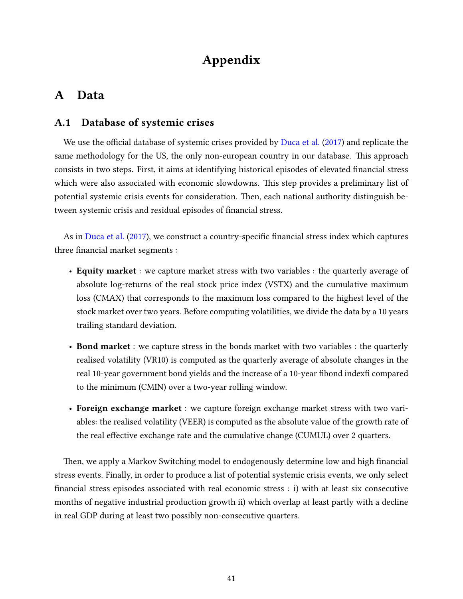# Appendix

# A Data

## A.1 Database of systemic crises

We use the official database of systemic crises provided by [Duca et al.](#page-39-10)  $(2017)$  and replicate the same methodology for the US, the only non-european country in our database. This approach consists in two steps. First, it aims at identifying historical episodes of elevated financial stress which were also associated with economic slowdowns. This step provides a preliminary list of potential systemic crisis events for consideration. Then, each national authority distinguish between systemic crisis and residual episodes of financial stress.

As in [Duca et al.](#page-39-10) [\(2017\)](#page-39-10), we construct a country-specific financial stress index which captures three financial market segments :

- Equity market : we capture market stress with two variables : the quarterly average of absolute log-returns of the real stock price index (VSTX) and the cumulative maximum loss (CMAX) that corresponds to the maximum loss compared to the highest level of the stock market over two years. Before computing volatilities, we divide the data by a 10 years trailing standard deviation.
- Bond market : we capture stress in the bonds market with two variables : the quarterly realised volatility (VR10) is computed as the quarterly average of absolute changes in the real 10-year government bond yields and the increase of a 10-year fibond indexfi compared to the minimum (CMIN) over a two-year rolling window.
- Foreign exchange market : we capture foreign exchange market stress with two variables: the realised volatility (VEER) is computed as the absolute value of the growth rate of the real effective exchange rate and the cumulative change (CUMUL) over 2 quarters.

Then, we apply a Markov Switching model to endogenously determine low and high financial stress events. Finally, in order to produce a list of potential systemic crisis events, we only select nancial stress episodes associated with real economic stress : i) with at least six consecutive months of negative industrial production growth ii) which overlap at least partly with a decline in real GDP during at least two possibly non-consecutive quarters.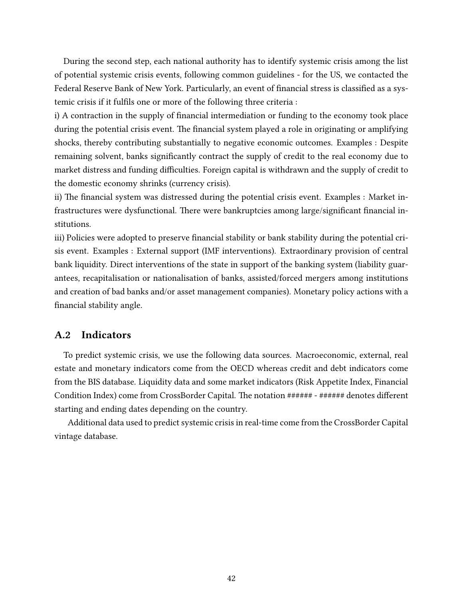During the second step, each national authority has to identify systemic crisis among the list of potential systemic crisis events, following common guidelines - for the US, we contacted the Federal Reserve Bank of New York. Particularly, an event of financial stress is classified as a systemic crisis if it fulfils one or more of the following three criteria :

i) A contraction in the supply of financial intermediation or funding to the economy took place during the potential crisis event. The financial system played a role in originating or amplifying shocks, thereby contributing substantially to negative economic outcomes. Examples : Despite remaining solvent, banks signicantly contract the supply of credit to the real economy due to market distress and funding difficulties. Foreign capital is withdrawn and the supply of credit to the domestic economy shrinks (currency crisis).

ii) The financial system was distressed during the potential crisis event. Examples : Market infrastructures were dysfunctional. There were bankruptcies among large/significant financial institutions.

iii) Policies were adopted to preserve financial stability or bank stability during the potential crisis event. Examples : External support (IMF interventions). Extraordinary provision of central bank liquidity. Direct interventions of the state in support of the banking system (liability guarantees, recapitalisation or nationalisation of banks, assisted/forced mergers among institutions and creation of bad banks and/or asset management companies). Monetary policy actions with a financial stability angle.

## A.2 Indicators

To predict systemic crisis, we use the following data sources. Macroeconomic, external, real estate and monetary indicators come from the OECD whereas credit and debt indicators come from the BIS database. Liquidity data and some market indicators (Risk Appetite Index, Financial Condition Index) come from CrossBorder Capital. The notation ###### - ###### denotes different starting and ending dates depending on the country.

Additional data used to predict systemic crisis in real-time come from the CrossBorder Capital vintage database.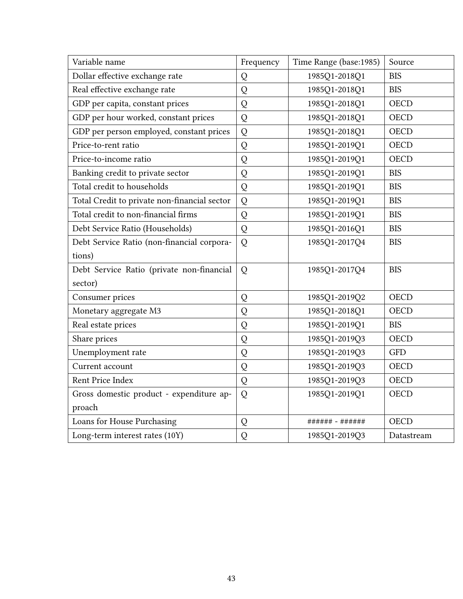| Variable name                                | Frequency | Time Range (base:1985) | Source      |
|----------------------------------------------|-----------|------------------------|-------------|
| Dollar effective exchange rate               | Q         | 1985Q1-2018Q1          | <b>BIS</b>  |
| Real effective exchange rate                 | Q         | 1985Q1-2018Q1          | <b>BIS</b>  |
| GDP per capita, constant prices              | Q         | 1985Q1-2018Q1          | <b>OECD</b> |
| GDP per hour worked, constant prices         | Q         | 1985Q1-2018Q1          | <b>OECD</b> |
| GDP per person employed, constant prices     | Q         | 1985Q1-2018Q1          | <b>OECD</b> |
| Price-to-rent ratio                          | Q         | 1985Q1-2019Q1          | <b>OECD</b> |
| Price-to-income ratio                        | Q         | 1985Q1-2019Q1          | <b>OECD</b> |
| Banking credit to private sector             | Q         | 1985Q1-2019Q1          | <b>BIS</b>  |
| Total credit to households                   | Q         | 1985Q1-2019Q1          | <b>BIS</b>  |
| Total Credit to private non-financial sector | Q         | 1985Q1-2019Q1          | <b>BIS</b>  |
| Total credit to non-financial firms          | Q         | 1985Q1-2019Q1          | <b>BIS</b>  |
| Debt Service Ratio (Households)              | Q         | 1985Q1-2016Q1          | <b>BIS</b>  |
| Debt Service Ratio (non-financial corpora-   | Q         | 1985Q1-2017Q4          | <b>BIS</b>  |
| tions)                                       |           |                        |             |
| Debt Service Ratio (private non-financial    | Q         | 1985Q1-2017Q4          | <b>BIS</b>  |
| sector)                                      |           |                        |             |
| Consumer prices                              | Q         | 1985Q1-2019Q2          | <b>OECD</b> |
| Monetary aggregate M3                        | Q         | 1985Q1-2018Q1          | <b>OECD</b> |
| Real estate prices                           | Q         | 1985Q1-2019Q1          | <b>BIS</b>  |
| Share prices                                 | Q         | 1985Q1-2019Q3          | <b>OECD</b> |
| Unemployment rate                            | Q         | 1985Q1-2019Q3          | <b>GFD</b>  |
| Current account                              | Q         | 1985Q1-2019Q3          | <b>OECD</b> |
| Rent Price Index                             | Q         | 1985Q1-2019Q3          | <b>OECD</b> |
| Gross domestic product - expenditure ap-     | Q         | 1985Q1-2019Q1          | <b>OECD</b> |
| proach                                       |           |                        |             |
| Loans for House Purchasing                   | Q         | ###### - ######        | <b>OECD</b> |
| Long-term interest rates (10Y)               | Q         | 1985Q1-2019Q3          | Datastream  |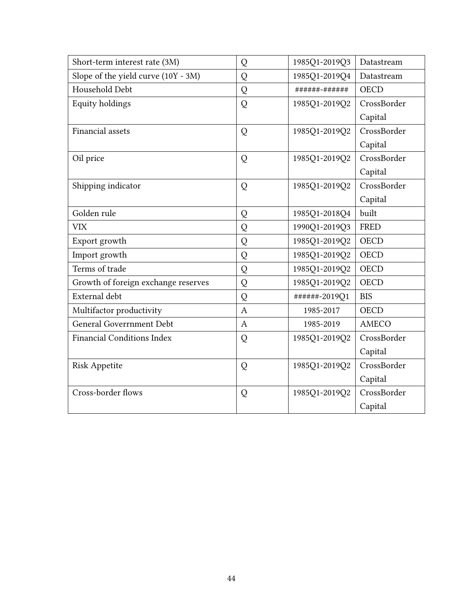| Short-term interest rate (3M)       | Q                | 1985Q1-2019Q3 | Datastream  |
|-------------------------------------|------------------|---------------|-------------|
| Slope of the yield curve (10Y - 3M) | Q                | 1985Q1-2019Q4 | Datastream  |
| Household Debt                      | Q                | ######-###### | <b>OECD</b> |
| Equity holdings                     | Q                | 1985Q1-2019Q2 | CrossBorder |
|                                     |                  |               | Capital     |
| Financial assets                    | Q                | 1985Q1-2019Q2 | CrossBorder |
|                                     |                  |               | Capital     |
| Oil price                           | Q                | 1985Q1-2019Q2 | CrossBorder |
|                                     |                  |               | Capital     |
| Shipping indicator                  | Q                | 1985Q1-2019Q2 | CrossBorder |
|                                     |                  |               | Capital     |
| Golden rule                         | Q                | 1985Q1-2018Q4 | built       |
| <b>VIX</b>                          | Q                | 1990Q1-2019Q3 | <b>FRED</b> |
| Export growth                       | Q                | 1985Q1-2019Q2 | <b>OECD</b> |
| Import growth                       | Q                | 1985Q1-2019Q2 | <b>OECD</b> |
| Terms of trade                      | Q                | 1985Q1-2019Q2 | <b>OECD</b> |
| Growth of foreign exchange reserves | Q                | 1985Q1-2019Q2 | <b>OECD</b> |
| External debt                       | Q                | ######-2019Q1 | <b>BIS</b>  |
| Multifactor productivity            | $\boldsymbol{A}$ | 1985-2017     | <b>OECD</b> |
| <b>General Goverrnment Debt</b>     | $\overline{A}$   | 1985-2019     | AMECO       |
| <b>Financial Conditions Index</b>   | Q                | 1985Q1-2019Q2 | CrossBorder |
|                                     |                  |               | Capital     |
| <b>Risk Appetite</b>                | Q                | 1985Q1-2019Q2 | CrossBorder |
|                                     |                  |               | Capital     |
| Cross-border flows                  | Q                | 1985Q1-2019Q2 | CrossBorder |
|                                     |                  |               | Capital     |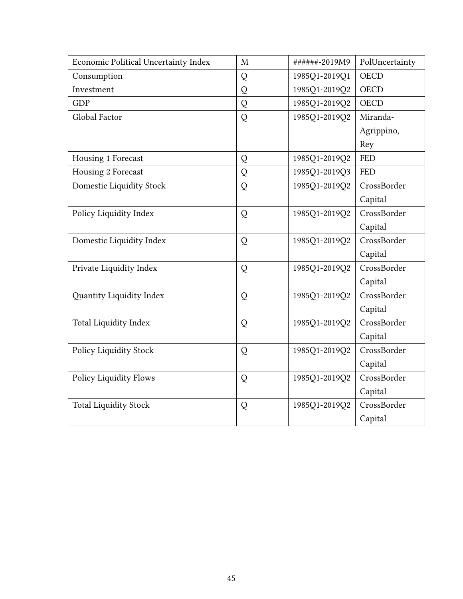| Economic Political Uncertainty Index | M | ######-2019M9 | PolUncertainty |
|--------------------------------------|---|---------------|----------------|
| Consumption                          | Q | 1985Q1-2019Q1 | <b>OECD</b>    |
| Investment                           | Q | 1985Q1-2019Q2 | <b>OECD</b>    |
| <b>GDP</b>                           | Q | 1985Q1-2019Q2 | <b>OECD</b>    |
| Global Factor                        | Q | 1985Q1-2019Q2 | Miranda-       |
|                                      |   |               | Agrippino,     |
|                                      |   |               | Rey            |
| Housing 1 Forecast                   | Q | 1985Q1-2019Q2 | <b>FED</b>     |
| Housing 2 Forecast                   | Q | 1985Q1-2019Q3 | <b>FED</b>     |
| Domestic Liquidity Stock             | Q | 1985Q1-2019Q2 | CrossBorder    |
|                                      |   |               | Capital        |
| Policy Liquidity Index               | Q | 1985Q1-2019Q2 | CrossBorder    |
|                                      |   |               | Capital        |
| Domestic Liquidity Index             | Q | 1985Q1-2019Q2 | CrossBorder    |
|                                      |   |               | Capital        |
| Private Liquidity Index              | Q | 1985Q1-2019Q2 | CrossBorder    |
|                                      |   |               | Capital        |
| Quantity Liquidity Index             | Q | 1985Q1-2019Q2 | CrossBorder    |
|                                      |   |               | Capital        |
| <b>Total Liquidity Index</b>         | Q | 1985Q1-2019Q2 | CrossBorder    |
|                                      |   |               | Capital        |
| Policy Liquidity Stock               | Q | 1985Q1-2019Q2 | CrossBorder    |
|                                      |   |               | Capital        |
| <b>Policy Liquidity Flows</b>        | Q | 1985Q1-2019Q2 | CrossBorder    |
|                                      |   |               | Capital        |
| <b>Total Liquidity Stock</b>         | Q | 1985Q1-2019Q2 | CrossBorder    |
|                                      |   |               | Capital        |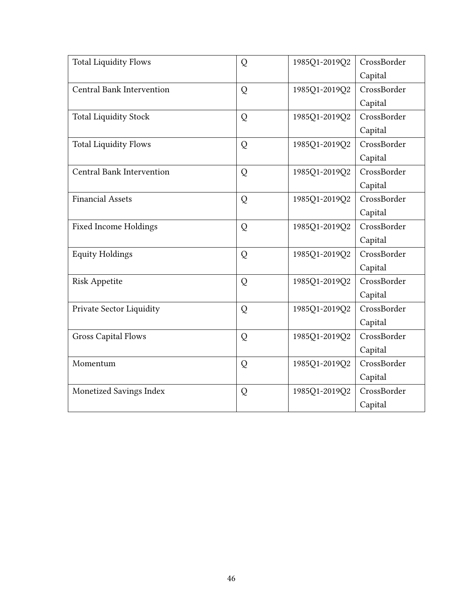| <b>Total Liquidity Flows</b>     | Q | 1985Q1-2019Q2 | CrossBorder |
|----------------------------------|---|---------------|-------------|
|                                  |   |               | Capital     |
| Central Bank Intervention        | Q | 1985Q1-2019Q2 | CrossBorder |
|                                  |   |               | Capital     |
| <b>Total Liquidity Stock</b>     | Q | 1985Q1-2019Q2 | CrossBorder |
|                                  |   |               | Capital     |
| <b>Total Liquidity Flows</b>     | Q | 1985Q1-2019Q2 | CrossBorder |
|                                  |   |               | Capital     |
| <b>Central Bank Intervention</b> | Q | 1985Q1-2019Q2 | CrossBorder |
|                                  |   |               | Capital     |
| <b>Financial Assets</b>          | Q | 1985Q1-2019Q2 | CrossBorder |
|                                  |   |               | Capital     |
| <b>Fixed Income Holdings</b>     | Q | 1985Q1-2019Q2 | CrossBorder |
|                                  |   |               | Capital     |
| <b>Equity Holdings</b>           | Q | 1985Q1-2019Q2 | CrossBorder |
|                                  |   |               | Capital     |
| <b>Risk Appetite</b>             | Q | 1985Q1-2019Q2 | CrossBorder |
|                                  |   |               | Capital     |
| Private Sector Liquidity         | Q | 1985Q1-2019Q2 | CrossBorder |
|                                  |   |               | Capital     |
| <b>Gross Capital Flows</b>       | Q | 1985Q1-2019Q2 | CrossBorder |
|                                  |   |               | Capital     |
| Momentum                         | Q | 1985Q1-2019Q2 | CrossBorder |
|                                  |   |               | Capital     |
| Monetized Savings Index          | Q | 1985Q1-2019Q2 | CrossBorder |
|                                  |   |               | Capital     |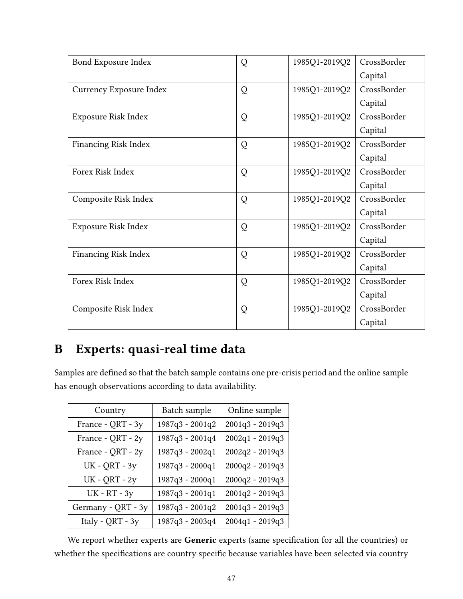| Bond Exposure Index         | Q | 1985Q1-2019Q2 | CrossBorder |
|-----------------------------|---|---------------|-------------|
|                             |   |               | Capital     |
| Currency Exposure Index     | Q | 1985Q1-2019Q2 | CrossBorder |
|                             |   |               | Capital     |
| Exposure Risk Index         | Q | 1985Q1-2019Q2 | CrossBorder |
|                             |   |               | Capital     |
| <b>Financing Risk Index</b> | Q | 1985Q1-2019Q2 | CrossBorder |
|                             |   |               | Capital     |
| Forex Risk Index            | Q | 1985Q1-2019Q2 | CrossBorder |
|                             |   |               | Capital     |
| Composite Risk Index        | Q | 1985Q1-2019Q2 | CrossBorder |
|                             |   |               | Capital     |
| Exposure Risk Index         | Q | 1985Q1-2019Q2 | CrossBorder |
|                             |   |               | Capital     |
| <b>Financing Risk Index</b> | Q | 1985Q1-2019Q2 | CrossBorder |
|                             |   |               | Capital     |
| Forex Risk Index            | Q | 1985Q1-2019Q2 | CrossBorder |
|                             |   |               | Capital     |
| Composite Risk Index        | Q | 1985Q1-2019Q2 | CrossBorder |
|                             |   |               | Capital     |

# B Experts: quasi-real time data

Samples are defined so that the batch sample contains one pre-crisis period and the online sample has enough observations according to data availability.

| Country              | Batch sample    | Online sample   |
|----------------------|-----------------|-----------------|
| France - QRT - 3y    | 1987q3 - 2001q2 | 2001q3 - 2019q3 |
| France - QRT - 2y    | 1987q3 - 2001q4 | 2002q1 - 2019q3 |
| France - QRT - 2y    | 1987q3 - 2002q1 | 2002q2 - 2019q3 |
| <b>UK - QRT - 3y</b> | 1987q3 - 2000q1 | 2000q2 - 2019q3 |
| <b>UK - QRT - 2y</b> | 1987q3 - 2000q1 | 2000q2 - 2019q3 |
| <b>UK - RT - 3y</b>  | 1987q3 - 2001q1 | 2001q2 - 2019q3 |
| Germany - QRT - 3y   | 1987q3 - 2001q2 | 2001q3 - 2019q3 |
| Italy - QRT - 3y     | 1987q3 - 2003q4 | 2004q1 - 2019q3 |

We report whether experts are Generic experts (same specification for all the countries) or whether the specifications are country specific because variables have been selected via country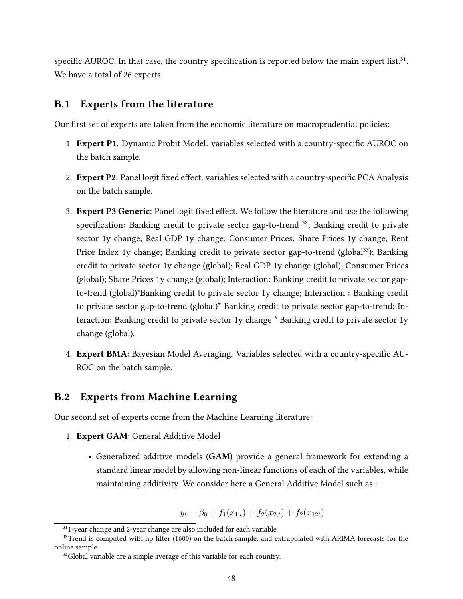specific AUROC. In that case, the country specification is reported below the main expert list. $31$ . We have a total of 26 experts.

## B.1 Experts from the literature

Our first set of experts are taken from the economic literature on macroprudential policies:

- 1. **Expert P1**. Dynamic Probit Model: variables selected with a country-specific AUROC on the batch sample.
- 2. Expert P2. Panel logit fixed effect: variables selected with a country-specific PCA Analysis on the batch sample.
- 3. Expert P3 Generic: Panel logit fixed effect. We follow the literature and use the following specification: Banking credit to private sector gap-to-trend  $^{32}$ ; Banking credit to private sector 1y change; Real GDP 1y change; Consumer Prices; Share Prices 1y change; Rent Price Index 1y change; Banking credit to private sector gap-to-trend (global<sup>33</sup>); Banking credit to private sector 1y change (global); Real GDP 1y change (global); Consumer Prices (global); Share Prices 1y change (global); Interaction: Banking credit to private sector gapto-trend (global)\*Banking credit to private sector 1y change; Interaction : Banking credit to private sector gap-to-trend (global)\* Banking credit to private sector gap-to-trend; Interaction: Banking credit to private sector 1y change \* Banking credit to private sector 1y change (global).
- 4. Expert BMA: Bayesian Model Averaging. Variables selected with a country-specific AU-ROC on the batch sample.

## B.2 Experts from Machine Learning

Our second set of experts come from the Machine Learning literature:

- 1. Expert GAM: General Additive Model
	- Generalized additive models (GAM) provide a general framework for extending a standard linear model by allowing non-linear functions of each of the variables, while maintaining additivity. We consider here a General Additive Model such as :

 $y_t = \beta_0 + f_1(x_{1,t}) + f_2(x_{2,t}) + f_2(x_{12t})$ 

 $31$ -year change and 2-year change are also included for each variable

 $32$ Trend is computed with hp filter (1600) on the batch sample, and extrapolated with ARIMA forecasts for the online sample.

<sup>&</sup>lt;sup>33</sup>Global variable are a simple average of this variable for each country.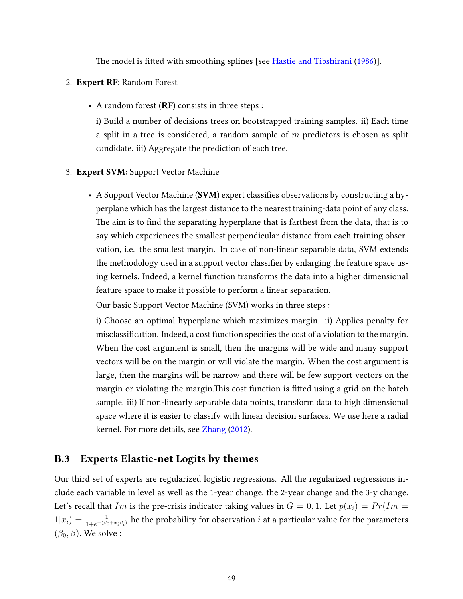The model is fitted with smoothing splines [see [Hastie and Tibshirani](#page-40-17) [\(1986\)](#page-40-17)].

#### 2. Expert RF: Random Forest

• A random forest (RF) consists in three steps :

i) Build a number of decisions trees on bootstrapped training samples. ii) Each time a split in a tree is considered, a random sample of  $m$  predictors is chosen as split candidate. iii) Aggregate the prediction of each tree.

#### 3. Expert SVM: Support Vector Machine

• A Support Vector Machine (SVM) expert classifies observations by constructing a hyperplane which has the largest distance to the nearest training-data point of any class. The aim is to find the separating hyperplane that is farthest from the data, that is to say which experiences the smallest perpendicular distance from each training observation, i.e. the smallest margin. In case of non-linear separable data, SVM extends the methodology used in a support vector classifier by enlarging the feature space using kernels. Indeed, a kernel function transforms the data into a higher dimensional feature space to make it possible to perform a linear separation.

Our basic Support Vector Machine (SVM) works in three steps :

i) Choose an optimal hyperplane which maximizes margin. ii) Applies penalty for misclassification. Indeed, a cost function specifies the cost of a violation to the margin. When the cost argument is small, then the margins will be wide and many support vectors will be on the margin or will violate the margin. When the cost argument is large, then the margins will be narrow and there will be few support vectors on the margin or violating the margin. This cost function is fitted using a grid on the batch sample. iii) If non-linearly separable data points, transform data to high dimensional space where it is easier to classify with linear decision surfaces. We use here a radial kernel. For more details, see [Zhang](#page-41-11) [\(2012\)](#page-41-11).

## B.3 Experts Elastic-net Logits by themes

Our third set of experts are regularized logistic regressions. All the regularized regressions include each variable in level as well as the 1-year change, the 2-year change and the 3-y change. Let's recall that Im is the pre-crisis indicator taking values in  $G = 0, 1$ . Let  $p(x_i) = Pr(Im = 1)$  $1|x_i)=\frac{1}{1+e^{-(\beta_0+x_i\beta_i)}}$  be the probability for observation  $i$  at a particular value for the parameters  $(\beta_0, \beta)$ . We solve :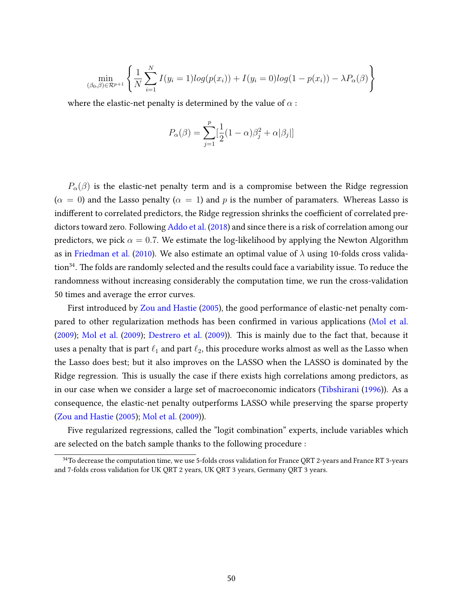$$
\min_{(\beta_0, \beta) \in \mathcal{R}^{p+1}} \left\{ \frac{1}{N} \sum_{i=1}^{N} I(y_i = 1) log(p(x_i)) + I(y_i = 0) log(1 - p(x_i)) - \lambda P_{\alpha}(\beta) \right\}
$$

where the elastic-net penalty is determined by the value of  $\alpha$ :

$$
P_{\alpha}(\beta) = \sum_{j=1}^{p} [\frac{1}{2}(1-\alpha)\beta_j^2 + \alpha|\beta_j|]
$$

 $P_{\alpha}(\beta)$  is the elastic-net penalty term and is a compromise between the Ridge regression  $(\alpha = 0)$  and the Lasso penalty  $(\alpha = 1)$  and p is the number of paramaters. Whereas Lasso is indifferent to correlated predictors, the Ridge regression shrinks the coefficient of correlated predictors toward zero. Following [Addo et al.](#page-39-15) [\(2018\)](#page-39-15) and since there is a risk of correlation among our predictors, we pick  $\alpha = 0.7$ . We estimate the log-likelihood by applying the Newton Algorithm as in [Friedman et al.](#page-40-18) [\(2010\)](#page-40-18). We also estimate an optimal value of  $\lambda$  using 10-folds cross valida- $\sim$  tion<sup>34</sup>. The folds are randomly selected and the results could face a variability issue. To reduce the randomness without increasing considerably the computation time, we run the cross-validation 50 times and average the error curves.

First introduced by [Zou and Hastie](#page-41-10) [\(2005\)](#page-41-10), the good performance of elastic-net penalty com-pared to other regularization methods has been confirmed in various applications [\(Mol et al.](#page-40-15)  $(2009)$ ; [Mol et al.](#page-40-16)  $(2009)$ ; [Destrero et al.](#page-39-14)  $(2009)$ ). This is mainly due to the fact that, because it uses a penalty that is part  $\ell_1$  and part  $\ell_2$ , this procedure works almost as well as the Lasso when the Lasso does best; but it also improves on the LASSO when the LASSO is dominated by the Ridge regression. This is usually the case if there exists high correlations among predictors, as in our case when we consider a large set of macroeconomic indicators [\(Tibshirani](#page-41-12) [\(1996\)](#page-41-12)). As a consequence, the elastic-net penalty outperforms LASSO while preserving the sparse property [\(Zou and Hastie](#page-41-10) [\(2005\)](#page-41-10); [Mol et al.](#page-40-15) [\(2009\)](#page-40-15)).

Five regularized regressions, called the "logit combination" experts, include variables which are selected on the batch sample thanks to the following procedure :

<sup>&</sup>lt;sup>34</sup>To decrease the computation time, we use 5-folds cross validation for France QRT 2-years and France RT 3-years and 7-folds cross validation for UK QRT 2 years, UK QRT 3 years, Germany QRT 3 years.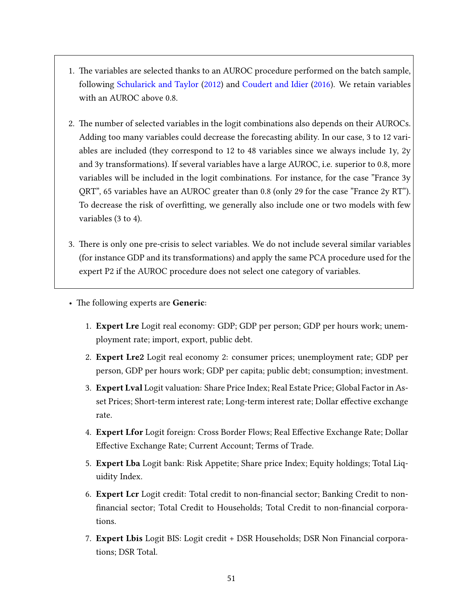- 1. The variables are selected thanks to an AUROC procedure performed on the batch sample, following [Schularick and Taylor](#page-41-1) [\(2012\)](#page-41-1) and [Coudert and Idier](#page-39-16) [\(2016\)](#page-39-16). We retain variables with an AUROC above 0.8.
- 2. The number of selected variables in the logit combinations also depends on their AUROCs. Adding too many variables could decrease the forecasting ability. In our case, 3 to 12 variables are included (they correspond to 12 to 48 variables since we always include 1y, 2y and 3y transformations). If several variables have a large AUROC, i.e. superior to 0.8, more variables will be included in the logit combinations. For instance, for the case "France 3y QRT", 65 variables have an AUROC greater than 0.8 (only 29 for the case "France 2y RT"). To decrease the risk of overfitting, we generally also include one or two models with few variables (3 to 4).
- 3. There is only one pre-crisis to select variables. We do not include several similar variables (for instance GDP and its transformations) and apply the same PCA procedure used for the expert P2 if the AUROC procedure does not select one category of variables.
- The following experts are Generic:
	- 1. Expert Lre Logit real economy: GDP; GDP per person; GDP per hours work; unemployment rate; import, export, public debt.
	- 2. Expert Lre2 Logit real economy 2: consumer prices; unemployment rate; GDP per person, GDP per hours work; GDP per capita; public debt; consumption; investment.
	- 3. Expert Lval Logit valuation: Share Price Index; Real Estate Price; Global Factor in Asset Prices; Short-term interest rate; Long-term interest rate; Dollar effective exchange rate.
	- 4. Expert Lfor Logit foreign: Cross Border Flows; Real Effective Exchange Rate; Dollar Effective Exchange Rate; Current Account; Terms of Trade.
	- 5. Expert Lba Logit bank: Risk Appetite; Share price Index; Equity holdings; Total Liquidity Index.
	- 6. Expert Lcr Logit credit: Total credit to non-financial sector; Banking Credit to nonfinancial sector; Total Credit to Households; Total Credit to non-financial corporations.
	- 7. Expert Lbis Logit BIS: Logit credit + DSR Households; DSR Non Financial corporations; DSR Total.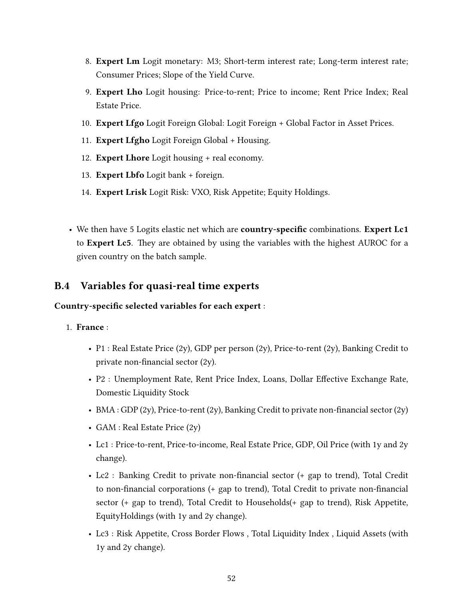- 8. Expert Lm Logit monetary: M3; Short-term interest rate; Long-term interest rate; Consumer Prices; Slope of the Yield Curve.
- 9. Expert Lho Logit housing: Price-to-rent; Price to income; Rent Price Index; Real Estate Price.
- 10. Expert Lfgo Logit Foreign Global: Logit Foreign + Global Factor in Asset Prices.
- 11. **Expert Lfgho** Logit Foreign Global + Housing.
- 12. Expert Lhore Logit housing + real economy.
- 13. Expert Lbfo Logit bank + foreign.
- 14. Expert Lrisk Logit Risk: VXO, Risk Appetite; Equity Holdings.
- We then have 5 Logits elastic net which are **country-specific** combinations. Expert Lc1 to Expert Lc5. They are obtained by using the variables with the highest AUROC for a given country on the batch sample.

## B.4 Variables for quasi-real time experts

## Country-specific selected variables for each expert :

## 1. France :

- P1 : Real Estate Price  $(2y)$ , GDP per person  $(2y)$ , Price-to-rent  $(2y)$ , Banking Credit to private non-financial sector  $(2y)$ .
- P2 : Unemployment Rate, Rent Price Index, Loans, Dollar Effective Exchange Rate, Domestic Liquidity Stock
- BMA : GDP (2y), Price-to-rent (2y), Banking Credit to private non-financial sector (2y)
- GAM : Real Estate Price (2y)
- Lc1 : Price-to-rent, Price-to-income, Real Estate Price, GDP, Oil Price (with 1y and 2y change).
- Lc2 : Banking Credit to private non-financial sector (+ gap to trend), Total Credit to non-financial corporations  $(+)$  gap to trend), Total Credit to private non-financial sector (+ gap to trend), Total Credit to Households(+ gap to trend), Risk Appetite, EquityHoldings (with 1y and 2y change).
- Lc3 : Risk Appetite, Cross Border Flows , Total Liquidity Index , Liquid Assets (with 1y and 2y change).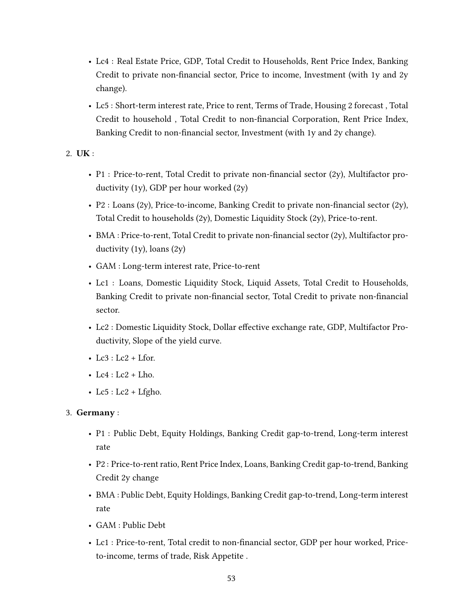- Lc4 : Real Estate Price, GDP, Total Credit to Households, Rent Price Index, Banking Credit to private non-financial sector, Price to income, Investment (with 1y and 2y change).
- Lc5 : Short-term interest rate, Price to rent, Terms of Trade, Housing 2 forecast , Total Credit to household, Total Credit to non-financial Corporation, Rent Price Index, Banking Credit to non-financial sector, Investment (with 1y and 2y change).
- 2. UK :
	- P1 : Price-to-rent, Total Credit to private non-financial sector  $(2y)$ , Multifactor productivity (1y), GDP per hour worked (2y)
	- P2 : Loans (2y), Price-to-income, Banking Credit to private non-financial sector (2y), Total Credit to households (2y), Domestic Liquidity Stock (2y), Price-to-rent.
	- BMA : Price-to-rent, Total Credit to private non-financial sector  $(2y)$ , Multifactor productivity (1y), loans (2y)
	- GAM : Long-term interest rate, Price-to-rent
	- Lc1 : Loans, Domestic Liquidity Stock, Liquid Assets, Total Credit to Households, Banking Credit to private non-financial sector, Total Credit to private non-financial sector.
	- Lc2 : Domestic Liquidity Stock, Dollar effective exchange rate, GDP, Multifactor Productivity, Slope of the yield curve.
	- Lc3 : Lc2 + Lfor.
	- Lc $4:$  Lc $2$  + Lho.
	- Lc $5:$  Lc $2$  + Lfgho.

## 3. Germany :

- P1 : Public Debt, Equity Holdings, Banking Credit gap-to-trend, Long-term interest rate
- P2 : Price-to-rent ratio, Rent Price Index, Loans, Banking Credit gap-to-trend, Banking Credit 2y change
- BMA : Public Debt, Equity Holdings, Banking Credit gap-to-trend, Long-term interest rate
- GAM : Public Debt
- Lc1 : Price-to-rent, Total credit to non-financial sector, GDP per hour worked, Priceto-income, terms of trade, Risk Appetite .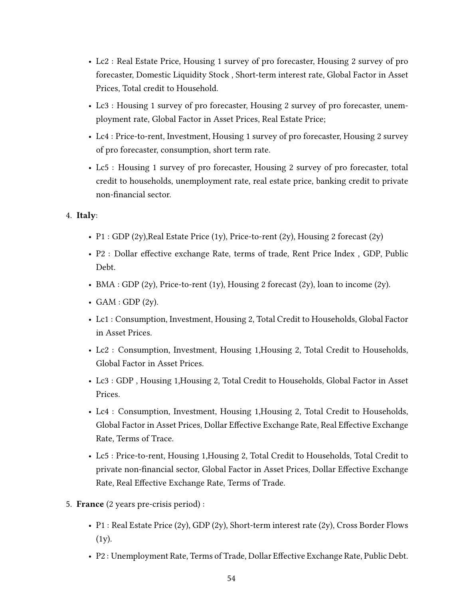- Lc2 : Real Estate Price, Housing 1 survey of pro forecaster, Housing 2 survey of pro forecaster, Domestic Liquidity Stock , Short-term interest rate, Global Factor in Asset Prices, Total credit to Household.
- Lc3 : Housing 1 survey of pro forecaster, Housing 2 survey of pro forecaster, unemployment rate, Global Factor in Asset Prices, Real Estate Price;
- Lc4 : Price-to-rent, Investment, Housing 1 survey of pro forecaster, Housing 2 survey of pro forecaster, consumption, short term rate.
- Lc5 : Housing 1 survey of pro forecaster, Housing 2 survey of pro forecaster, total credit to households, unemployment rate, real estate price, banking credit to private non-financial sector.

## 4. Italy:

- P1 : GDP (2y), Real Estate Price (1y), Price-to-rent (2y), Housing 2 forecast (2y)
- P2 : Dollar effective exchange Rate, terms of trade, Rent Price Index, GDP, Public Debt.
- BMA : GDP (2y), Price-to-rent (1y), Housing 2 forecast (2y), loan to income (2y).
- GAM : GDP  $(2y)$ .
- Lc1 : Consumption, Investment, Housing 2, Total Credit to Households, Global Factor in Asset Prices.
- Lc2 : Consumption, Investment, Housing 1,Housing 2, Total Credit to Households, Global Factor in Asset Prices.
- Lc3 : GDP , Housing 1,Housing 2, Total Credit to Households, Global Factor in Asset Prices.
- Lc4 : Consumption, Investment, Housing 1,Housing 2, Total Credit to Households, Global Factor in Asset Prices, Dollar Effective Exchange Rate, Real Effective Exchange Rate, Terms of Trace.
- Lc5 : Price-to-rent, Housing 1,Housing 2, Total Credit to Households, Total Credit to private non-financial sector, Global Factor in Asset Prices, Dollar Effective Exchange Rate, Real Effective Exchange Rate, Terms of Trade.
- 5. France (2 years pre-crisis period) :
	- P1 : Real Estate Price (2y), GDP (2y), Short-term interest rate (2y), Cross Border Flows (1y).
	- P2 : Unemployment Rate, Terms of Trade, Dollar Effective Exchange Rate, Public Debt.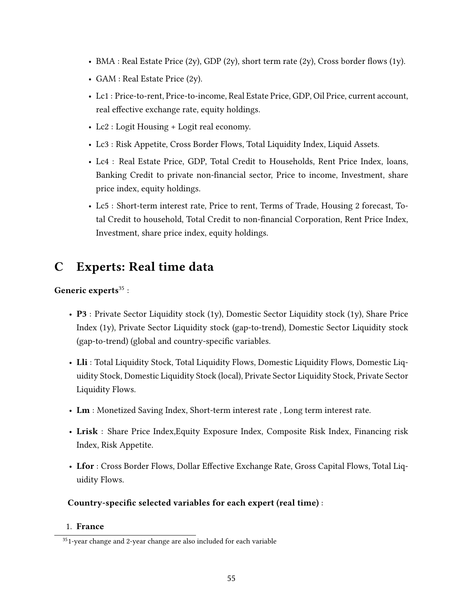- BMA : Real Estate Price (2y), GDP (2y), short term rate (2y), Cross border flows (1y).
- GAM : Real Estate Price (2y).
- Lc1 : Price-to-rent, Price-to-income, Real Estate Price, GDP, Oil Price, current account, real effective exchange rate, equity holdings.
- Lc2 : Logit Housing + Logit real economy.
- Lc3 : Risk Appetite, Cross Border Flows, Total Liquidity Index, Liquid Assets.
- Lc4 : Real Estate Price, GDP, Total Credit to Households, Rent Price Index, loans, Banking Credit to private non-financial sector, Price to income, Investment, share price index, equity holdings.
- Lc5 : Short-term interest rate, Price to rent, Terms of Trade, Housing 2 forecast, Total Credit to household, Total Credit to non-financial Corporation, Rent Price Index, Investment, share price index, equity holdings.

# C Experts: Real time data

## Generic experts $35$ :

- **P3** : Private Sector Liquidity stock (1y), Domestic Sector Liquidity stock (1y), Share Price Index (1y), Private Sector Liquidity stock (gap-to-trend), Domestic Sector Liquidity stock (gap-to-trend) (global and country-specific variables.
- Lli : Total Liquidity Stock, Total Liquidity Flows, Domestic Liquidity Flows, Domestic Liquidity Stock, Domestic Liquidity Stock (local), Private Sector Liquidity Stock, Private Sector Liquidity Flows.
- Lm : Monetized Saving Index, Short-term interest rate , Long term interest rate.
- Lrisk : Share Price Index,Equity Exposure Index, Composite Risk Index, Financing risk Index, Risk Appetite.
- Lfor : Cross Border Flows, Dollar Effective Exchange Rate, Gross Capital Flows, Total Liquidity Flows.

## Country-specific selected variables for each expert (real time) :

## 1. France

<sup>&</sup>lt;sup>35</sup>1-year change and 2-year change are also included for each variable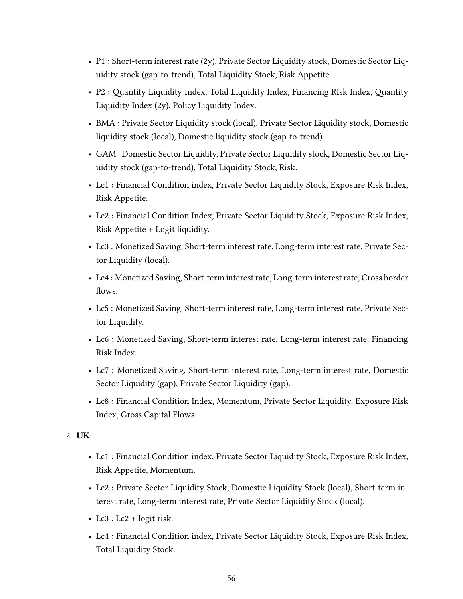- P1 : Short-term interest rate (2y), Private Sector Liquidity stock, Domestic Sector Liquidity stock (gap-to-trend), Total Liquidity Stock, Risk Appetite.
- P2 : Quantity Liquidity Index, Total Liquidity Index, Financing RIsk Index, Quantity Liquidity Index (2y), Policy Liquidity Index.
- BMA : Private Sector Liquidity stock (local), Private Sector Liquidity stock, Domestic liquidity stock (local), Domestic liquidity stock (gap-to-trend).
- GAM : Domestic Sector Liquidity, Private Sector Liquidity stock, Domestic Sector Liquidity stock (gap-to-trend), Total Liquidity Stock, Risk.
- Lc1 : Financial Condition index, Private Sector Liquidity Stock, Exposure Risk Index, Risk Appetite.
- Lc2 : Financial Condition Index, Private Sector Liquidity Stock, Exposure Risk Index, Risk Appetite + Logit liquidity.
- Lc3 : Monetized Saving, Short-term interest rate, Long-term interest rate, Private Sector Liquidity (local).
- Lc4 : Monetized Saving, Short-term interest rate, Long-term interest rate, Cross border flows.
- Lc5 : Monetized Saving, Short-term interest rate, Long-term interest rate, Private Sector Liquidity.
- Lc6 : Monetized Saving, Short-term interest rate, Long-term interest rate, Financing Risk Index.
- Lc7 : Monetized Saving, Short-term interest rate, Long-term interest rate, Domestic Sector Liquidity (gap), Private Sector Liquidity (gap).
- Lc8 : Financial Condition Index, Momentum, Private Sector Liquidity, Exposure Risk Index, Gross Capital Flows .

## 2. UK:

- Lc1 : Financial Condition index, Private Sector Liquidity Stock, Exposure Risk Index, Risk Appetite, Momentum.
- Lc2 : Private Sector Liquidity Stock, Domestic Liquidity Stock (local), Short-term interest rate, Long-term interest rate, Private Sector Liquidity Stock (local).
- Lc3 : Lc2 + logit risk.
- Lc4 : Financial Condition index, Private Sector Liquidity Stock, Exposure Risk Index, Total Liquidity Stock.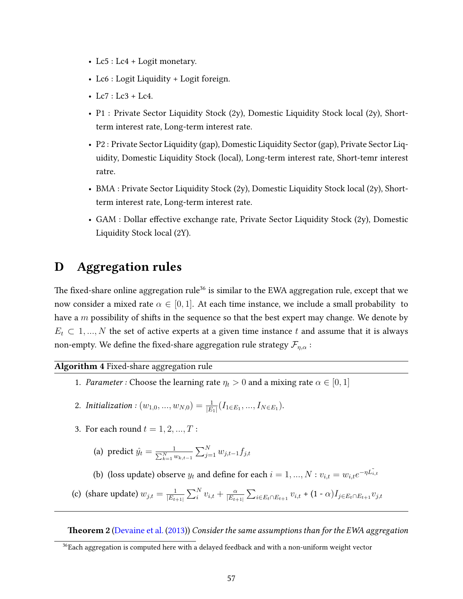- Lc5 : Lc4 + Logit monetary.
- Lc6 : Logit Liquidity + Logit foreign.
- $Lc7 : Lc3 + Lc4$ .
- P1 : Private Sector Liquidity Stock (2y), Domestic Liquidity Stock local (2y), Shortterm interest rate, Long-term interest rate.
- P2 : Private Sector Liquidity (gap), Domestic Liquidity Sector (gap), Private Sector Liquidity, Domestic Liquidity Stock (local), Long-term interest rate, Short-temr interest ratre.
- BMA : Private Sector Liquidity Stock (2y), Domestic Liquidity Stock local (2y), Shortterm interest rate, Long-term interest rate.
- GAM : Dollar effective exchange rate, Private Sector Liquidity Stock  $(2y)$ , Domestic Liquidity Stock local (2Y).

# D Aggregation rules

The fixed-share online aggregation rule<sup>36</sup> is similar to the EWA aggregation rule, except that we now consider a mixed rate  $\alpha \in [0, 1]$ . At each time instance, we include a small probability to have a  $m$  possibility of shifts in the sequence so that the best expert may change. We denote by  $E_t \subset 1, ..., N$  the set of active experts at a given time instance t and assume that it is always non-empty. We define the fixed-share aggregation rule strategy  $\mathcal{F}_{\eta,\alpha}$ :

## Algorithm 4 Fixed-share aggregation rule

- 1. Parameter : Choose the learning rate  $\eta_t > 0$  and a mixing rate  $\alpha \in [0, 1]$
- 2. Initialization :  $(w_{1,0},...,w_{N,0}) = \frac{1}{|E_1|}(I_{1 \in E_1},...,I_{N \in E_1}).$
- 3. For each round  $t = 1, 2, ..., T$ :
	- (a) predict  $\hat{y}_t = \frac{1}{\sum_{k=1}^{N} w_{k,t-1}} \sum_{j=1}^{N} w_{j,t-1} f_{j,t}$
	- (b) (loss update) observe  $y_t$  and define for each  $i = 1, ..., N : v_{i,t} = w_{i,t}e^{-\eta \tilde{L_{i,t}}}$
- (c) (share update)  $w_{j,t} = \frac{1}{|E_t|}$  $\frac{1}{|E_{t+1|}}\sum_i^N v_{i,t} + \frac{\alpha}{|E_{t+1}|}$  $\frac{\alpha}{|E_{t+1|}}\sum_{i\in E_t\cap E_{t+1}}v_{i,t}$  +  $(1$  -  $\alpha)I_{j\in E_t\cap E_{t+1}}v_{j,t}$

**Theorem 2** [\(Devaine et al.](#page-39-7) [\(2013\)](#page-39-7)) Consider the same assumptions than for the EWA aggregation

 $36$ Each aggregation is computed here with a delayed feedback and with a non-uniform weight vector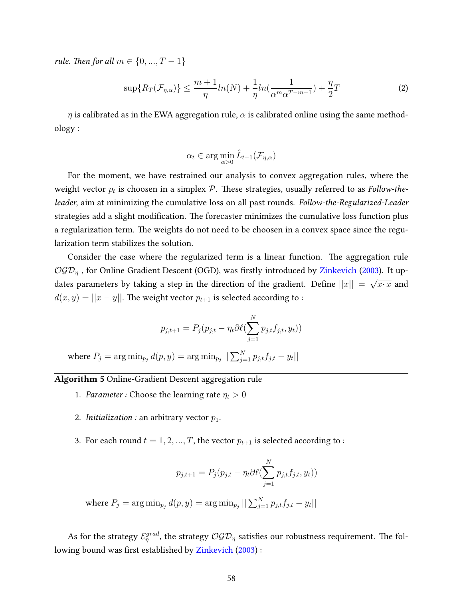*rule. Then for all*  $m \in \{0, ..., T - 1\}$ 

$$
\sup\{R_T(\mathcal{F}_{\eta,\alpha})\} \le \frac{m+1}{\eta}ln(N) + \frac{1}{\eta}ln\left(\frac{1}{\alpha^m\alpha^{T-m-1}}\right) + \frac{\eta}{2}T\tag{2}
$$

 $\eta$  is calibrated as in the EWA aggregation rule,  $\alpha$  is calibrated online using the same methodology :

$$
\alpha_t \in \arg\min_{\alpha>0} \hat{L}_{t-1}(\mathcal{F}_{\eta,\alpha})
$$

For the moment, we have restrained our analysis to convex aggregation rules, where the weight vector  $p_t$  is choosen in a simplex  ${\cal P}.$  These strategies, usually referred to as Follow-theleader, aim at minimizing the cumulative loss on all past rounds. Follow-the-Regularized-Leader strategies add a slight modification. The forecaster minimizes the cumulative loss function plus a regularization term. The weights do not need to be choosen in a convex space since the regularization term stabilizes the solution.

Consider the case where the regularized term is a linear function. The aggregation rule  $OGD<sub>η</sub>$ , for Online Gradient Descent (OGD), was firstly introduced by [Zinkevich](#page-41-13) [\(2003\)](#page-41-13). It updates parameters by taking a step in the direction of the gradient. Define  $||x||\,=$ √  $\overline{x \cdot x}$  and  $d(x, y) = ||x - y||$ . The weight vector  $p_{t+1}$  is selected according to :

$$
p_{j,t+1} = P_j(p_{j,t} - \eta_t \partial \ell(\sum_{j=1}^N p_{j,t} f_{j,t}, y_t))
$$

where  $P_j = \arg\min_{p_j} d(p,y) = \arg\min_{p_j} ||\sum_{j=1}^N p_{j,t} f_{j,t} - y_t||$ 

#### Algorithm 5 Online-Gradient Descent aggregation rule

- 1. Parameter : Choose the learning rate  $\eta_t > 0$
- 2. Initialization : an arbitrary vector  $p_1$ .
- 3. For each round  $t = 1, 2, ..., T$ , the vector  $p_{t+1}$  is selected according to :

$$
p_{j,t+1} = P_j(p_{j,t} - \eta_t \partial \ell(\sum_{j=1}^N p_{j,t} f_{j,t}, y_t))
$$
  
where  $P_j = \arg \min_{p_j} d(p, y) = \arg \min_{p_j} ||\sum_{j=1}^N p_{j,t} f_{j,t} - y_t||$ 

As for the strategy  $\mathcal{E}^{grad}_{\eta}$ , the strategy  $\mathcal{OGD}_{\eta}$  satisfies our robustness requirement. The fol-lowing bound was first established by [Zinkevich](#page-41-13) [\(2003\)](#page-41-13) :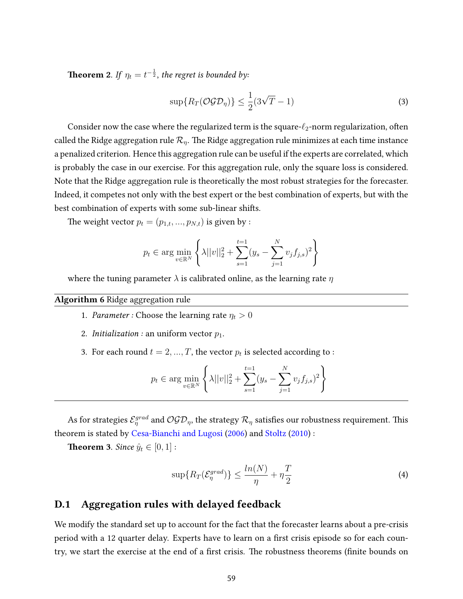**Theorem 2**. If  $\eta_t = t^{-\frac{1}{2}}$ , the regret is bounded by:

$$
\sup\{R_T(\mathcal{OGD}_{\eta})\} \le \frac{1}{2}(3\sqrt{T}-1)
$$
\n(3)

Consider now the case where the regularized term is the square- $\ell_2$ -norm regularization, often called the Ridge aggregation rule  $\mathcal{R}_\eta$ . The Ridge aggregation rule minimizes at each time instance a penalized criterion. Hence this aggregation rule can be useful if the experts are correlated, which is probably the case in our exercise. For this aggregation rule, only the square loss is considered. Note that the Ridge aggregation rule is theoretically the most robust strategies for the forecaster. Indeed, it competes not only with the best expert or the best combination of experts, but with the best combination of experts with some sub-linear shifts.

The weight vector  $p_t = (p_{1,t}, ..., p_{N,t})$  is given by :

$$
p_t \in \arg\min_{v \in \mathbb{R}^N} \left\{ \lambda ||v||_2^2 + \sum_{s=1}^{t=1} (y_s - \sum_{j=1}^N v_j f_{j,s})^2 \right\}
$$

where the tuning parameter  $\lambda$  is calibrated online, as the learning rate  $\eta$ 

## Algorithm 6 Ridge aggregation rule

- 1. Parameter : Choose the learning rate  $\eta_t > 0$
- 2. *Initialization* : an uniform vector  $p_1$ .
- 3. For each round  $t = 2, ..., T$ , the vector  $p_t$  is selected according to :

$$
p_t \in \arg\min_{v \in \mathbb{R}^N} \left\{ \lambda ||v||_2^2 + \sum_{s=1}^{t=1} (y_s - \sum_{j=1}^N v_j f_{j,s})^2 \right\}
$$

As for strategies  $\mathcal{E}^{grad}_\eta$  and  $\mathcal{OGD}_\eta,$  the strategy  $\mathcal{R}_\eta$  satisfies our robustness requirement. This theorem is stated by [Cesa-Bianchi and Lugosi](#page-39-4) [\(2006\)](#page-39-4) and [Stoltz](#page-41-9) [\(2010\)](#page-41-9) :

**Theorem 3.** Since  $\hat{y}_t \in [0, 1]$ :

$$
\sup\{R_T(\mathcal{E}_\eta^{grad})\} \le \frac{\ln(N)}{\eta} + \eta\frac{T}{2}
$$
\n(4)

## D.1 Aggregation rules with delayed feedback

We modify the standard set up to account for the fact that the forecaster learns about a pre-crisis period with a 12 quarter delay. Experts have to learn on a first crisis episode so for each country, we start the exercise at the end of a first crisis. The robustness theorems (finite bounds on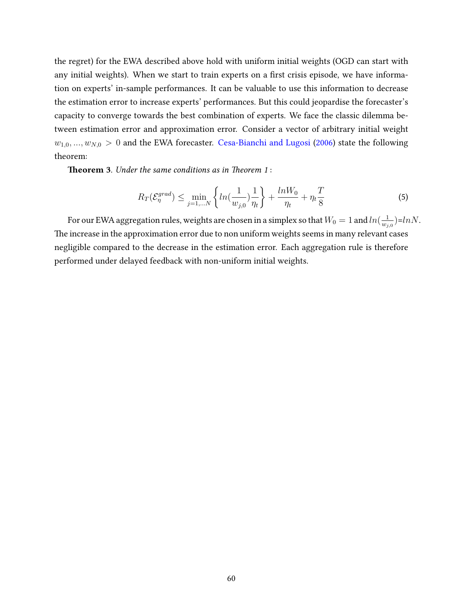the regret) for the EWA described above hold with uniform initial weights (OGD can start with any initial weights). When we start to train experts on a first crisis episode, we have information on experts' in-sample performances. It can be valuable to use this information to decrease the estimation error to increase experts' performances. But this could jeopardise the forecaster's capacity to converge towards the best combination of experts. We face the classic dilemma between estimation error and approximation error. Consider a vector of arbitrary initial weight  $w_{1,0},..., w_{N,0} > 0$  and the EWA forecaster. [Cesa-Bianchi and Lugosi](#page-39-4) [\(2006\)](#page-39-4) state the following theorem:

**Theorem 3.** Under the same conditions as in Theorem 1:

$$
R_T(\mathcal{E}_{\eta}^{grad}) \le \min_{j=1,\dots N} \left\{ \ln\left(\frac{1}{w_{j,0}}\right) \frac{1}{\eta_t} \right\} + \frac{\ln W_0}{\eta_t} + \eta_t \frac{T}{8} \tag{5}
$$

For our EWA aggregation rules, weights are chosen in a simplex so that  $W_0=1$  and  $ln(\frac{1}{m_0})$  $\frac{1}{w_{j,0}}$ )=lnN. The increase in the approximation error due to non uniform weights seems in many relevant cases negligible compared to the decrease in the estimation error. Each aggregation rule is therefore performed under delayed feedback with non-uniform initial weights.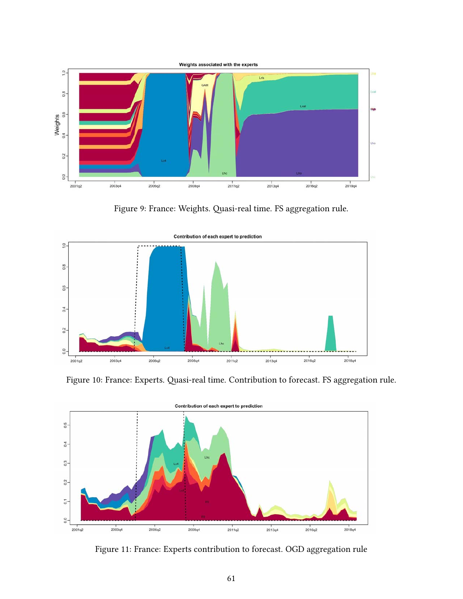

<span id="page-62-1"></span><span id="page-62-0"></span>Figure 9: France: Weights. Quasi-real time. FS aggregation rule.



Figure 10: France: Experts. Quasi-real time. Contribution to forecast. FS aggregation rule.



Figure 11: France: Experts contribution to forecast. OGD aggregation rule